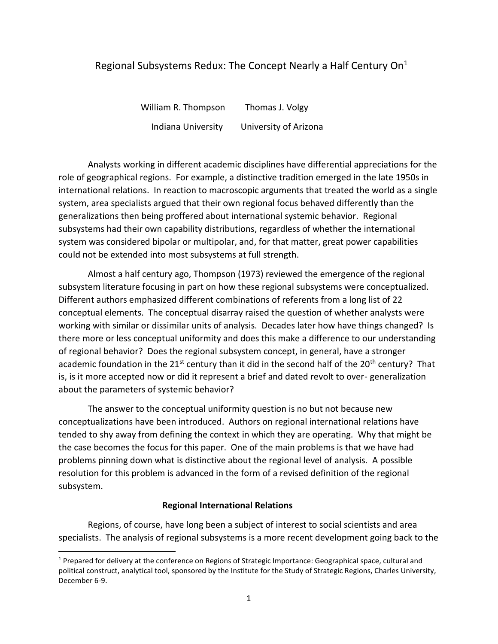# Regional Subsystems Redux: The Concept Nearly a Half Century  $On<sup>1</sup>$

William R. Thompson Thomas J. Volgy Indiana University University of Arizona

Analysts working in different academic disciplines have differential appreciations for the role of geographical regions. For example, a distinctive tradition emerged in the late 1950s in international relations. In reaction to macroscopic arguments that treated the world as a single system, area specialists argued that their own regional focus behaved differently than the generalizations then being proffered about international systemic behavior. Regional subsystems had their own capability distributions, regardless of whether the international system was considered bipolar or multipolar, and, for that matter, great power capabilities could not be extended into most subsystems at full strength.

Almost a half century ago, Thompson (1973) reviewed the emergence of the regional subsystem literature focusing in part on how these regional subsystems were conceptualized. Different authors emphasized different combinations of referents from a long list of 22 conceptual elements. The conceptual disarray raised the question of whether analysts were working with similar or dissimilar units of analysis. Decades later how have things changed? Is there more or less conceptual uniformity and does this make a difference to our understanding of regional behavior? Does the regional subsystem concept, in general, have a stronger academic foundation in the 21<sup>st</sup> century than it did in the second half of the 20<sup>th</sup> century? That is, is it more accepted now or did it represent a brief and dated revolt to over- generalization about the parameters of systemic behavior?

The answer to the conceptual uniformity question is no but not because new conceptualizations have been introduced. Authors on regional international relations have tended to shy away from defining the context in which they are operating. Why that might be the case becomes the focus for this paper. One of the main problems is that we have had problems pinning down what is distinctive about the regional level of analysis. A possible resolution for this problem is advanced in the form of a revised definition of the regional subsystem.

### **Regional International Relations**

 $\overline{\phantom{a}}$ 

Regions, of course, have long been a subject of interest to social scientists and area specialists. The analysis of regional subsystems is a more recent development going back to the

<sup>&</sup>lt;sup>1</sup> Prepared for delivery at the conference on Regions of Strategic Importance: Geographical space, cultural and political construct, analytical tool, sponsored by the Institute for the Study of Strategic Regions, Charles University, December 6-9.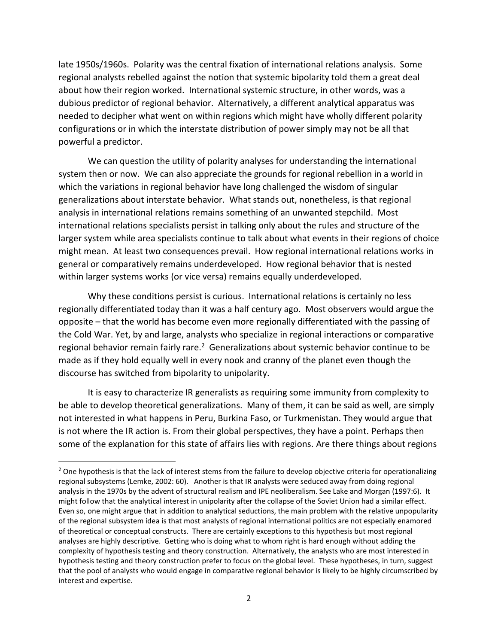late 1950s/1960s. Polarity was the central fixation of international relations analysis. Some regional analysts rebelled against the notion that systemic bipolarity told them a great deal about how their region worked. International systemic structure, in other words, was a dubious predictor of regional behavior. Alternatively, a different analytical apparatus was needed to decipher what went on within regions which might have wholly different polarity configurations or in which the interstate distribution of power simply may not be all that powerful a predictor.

We can question the utility of polarity analyses for understanding the international system then or now. We can also appreciate the grounds for regional rebellion in a world in which the variations in regional behavior have long challenged the wisdom of singular generalizations about interstate behavior. What stands out, nonetheless, is that regional analysis in international relations remains something of an unwanted stepchild. Most international relations specialists persist in talking only about the rules and structure of the larger system while area specialists continue to talk about what events in their regions of choice might mean. At least two consequences prevail. How regional international relations works in general or comparatively remains underdeveloped. How regional behavior that is nested within larger systems works (or vice versa) remains equally underdeveloped.

Why these conditions persist is curious. International relations is certainly no less regionally differentiated today than it was a half century ago. Most observers would argue the opposite – that the world has become even more regionally differentiated with the passing of the Cold War. Yet, by and large, analysts who specialize in regional interactions or comparative regional behavior remain fairly rare.<sup>2</sup> Generalizations about systemic behavior continue to be made as if they hold equally well in every nook and cranny of the planet even though the discourse has switched from bipolarity to unipolarity.

It is easy to characterize IR generalists as requiring some immunity from complexity to be able to develop theoretical generalizations. Many of them, it can be said as well, are simply not interested in what happens in Peru, Burkina Faso, or Turkmenistan. They would argue that is not where the IR action is. From their global perspectives, they have a point. Perhaps then some of the explanation for this state of affairs lies with regions. Are there things about regions

 $\overline{\phantom{a}}$ 

 $<sup>2</sup>$  One hypothesis is that the lack of interest stems from the failure to develop objective criteria for operationalizing</sup> regional subsystems (Lemke, 2002: 60). Another is that IR analysts were seduced away from doing regional analysis in the 1970s by the advent of structural realism and IPE neoliberalism. See Lake and Morgan (1997:6). It might follow that the analytical interest in unipolarity after the collapse of the Soviet Union had a similar effect. Even so, one might argue that in addition to analytical seductions, the main problem with the relative unpopularity of the regional subsystem idea is that most analysts of regional international politics are not especially enamored of theoretical or conceptual constructs. There are certainly exceptions to this hypothesis but most regional analyses are highly descriptive. Getting who is doing what to whom right is hard enough without adding the complexity of hypothesis testing and theory construction. Alternatively, the analysts who are most interested in hypothesis testing and theory construction prefer to focus on the global level. These hypotheses, in turn, suggest that the pool of analysts who would engage in comparative regional behavior is likely to be highly circumscribed by interest and expertise.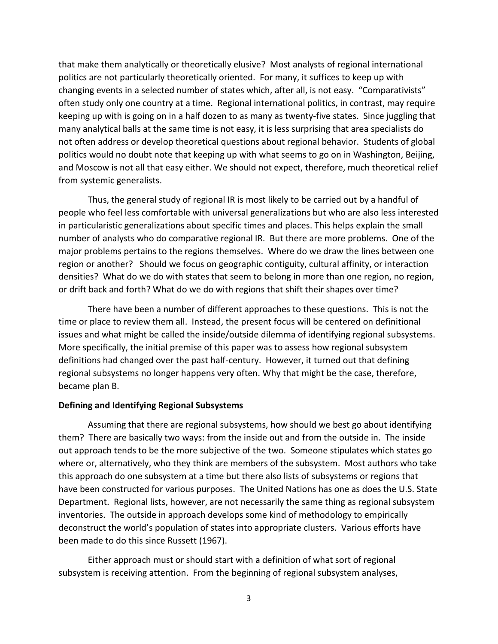that make them analytically or theoretically elusive? Most analysts of regional international politics are not particularly theoretically oriented. For many, it suffices to keep up with changing events in a selected number of states which, after all, is not easy. "Comparativists" often study only one country at a time. Regional international politics, in contrast, may require keeping up with is going on in a half dozen to as many as twenty-five states. Since juggling that many analytical balls at the same time is not easy, it is less surprising that area specialists do not often address or develop theoretical questions about regional behavior. Students of global politics would no doubt note that keeping up with what seems to go on in Washington, Beijing, and Moscow is not all that easy either. We should not expect, therefore, much theoretical relief from systemic generalists.

Thus, the general study of regional IR is most likely to be carried out by a handful of people who feel less comfortable with universal generalizations but who are also less interested in particularistic generalizations about specific times and places. This helps explain the small number of analysts who do comparative regional IR. But there are more problems. One of the major problems pertains to the regions themselves. Where do we draw the lines between one region or another? Should we focus on geographic contiguity, cultural affinity, or interaction densities? What do we do with states that seem to belong in more than one region, no region, or drift back and forth? What do we do with regions that shift their shapes over time?

There have been a number of different approaches to these questions. This is not the time or place to review them all. Instead, the present focus will be centered on definitional issues and what might be called the inside/outside dilemma of identifying regional subsystems. More specifically, the initial premise of this paper was to assess how regional subsystem definitions had changed over the past half-century. However, it turned out that defining regional subsystems no longer happens very often. Why that might be the case, therefore, became plan B.

### **Defining and Identifying Regional Subsystems**

Assuming that there are regional subsystems, how should we best go about identifying them? There are basically two ways: from the inside out and from the outside in. The inside out approach tends to be the more subjective of the two. Someone stipulates which states go where or, alternatively, who they think are members of the subsystem. Most authors who take this approach do one subsystem at a time but there also lists of subsystems or regions that have been constructed for various purposes. The United Nations has one as does the U.S. State Department. Regional lists, however, are not necessarily the same thing as regional subsystem inventories. The outside in approach develops some kind of methodology to empirically deconstruct the world's population of states into appropriate clusters. Various efforts have been made to do this since Russett (1967).

Either approach must or should start with a definition of what sort of regional subsystem is receiving attention. From the beginning of regional subsystem analyses,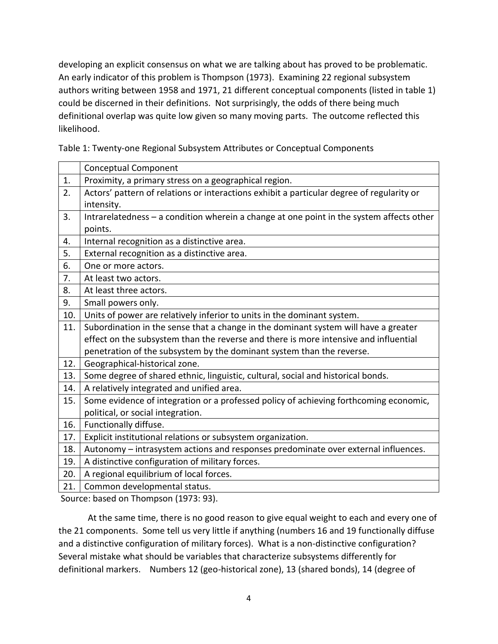developing an explicit consensus on what we are talking about has proved to be problematic. An early indicator of this problem is Thompson (1973). Examining 22 regional subsystem authors writing between 1958 and 1971, 21 different conceptual components (listed in table 1) could be discerned in their definitions. Not surprisingly, the odds of there being much definitional overlap was quite low given so many moving parts. The outcome reflected this likelihood.

Table 1: Twenty-one Regional Subsystem Attributes or Conceptual Components

|     | <b>Conceptual Component</b>                                                               |
|-----|-------------------------------------------------------------------------------------------|
| 1.  | Proximity, a primary stress on a geographical region.                                     |
| 2.  | Actors' pattern of relations or interactions exhibit a particular degree of regularity or |
|     | intensity.                                                                                |
| 3.  | Intrarelatedness - a condition wherein a change at one point in the system affects other  |
|     | points.                                                                                   |
| 4.  | Internal recognition as a distinctive area.                                               |
| 5.  | External recognition as a distinctive area.                                               |
| 6.  | One or more actors.                                                                       |
| 7.  | At least two actors.                                                                      |
| 8.  | At least three actors.                                                                    |
| 9.  | Small powers only.                                                                        |
| 10. | Units of power are relatively inferior to units in the dominant system.                   |
| 11. | Subordination in the sense that a change in the dominant system will have a greater       |
|     | effect on the subsystem than the reverse and there is more intensive and influential      |
|     | penetration of the subsystem by the dominant system than the reverse.                     |
| 12. | Geographical-historical zone.                                                             |
| 13. | Some degree of shared ethnic, linguistic, cultural, social and historical bonds.          |
| 14. | A relatively integrated and unified area.                                                 |
| 15. | Some evidence of integration or a professed policy of achieving forthcoming economic,     |
|     | political, or social integration.                                                         |
| 16. | Functionally diffuse.                                                                     |
| 17. | Explicit institutional relations or subsystem organization.                               |
| 18. | Autonomy - intrasystem actions and responses predominate over external influences.        |
| 19. | A distinctive configuration of military forces.                                           |
| 20. | A regional equilibrium of local forces.                                                   |
| 21. | Common developmental status.                                                              |
|     |                                                                                           |

Source: based on Thompson (1973: 93).

At the same time, there is no good reason to give equal weight to each and every one of the 21 components. Some tell us very little if anything (numbers 16 and 19 functionally diffuse and a distinctive configuration of military forces). What is a non-distinctive configuration? Several mistake what should be variables that characterize subsystems differently for definitional markers. Numbers 12 (geo-historical zone), 13 (shared bonds), 14 (degree of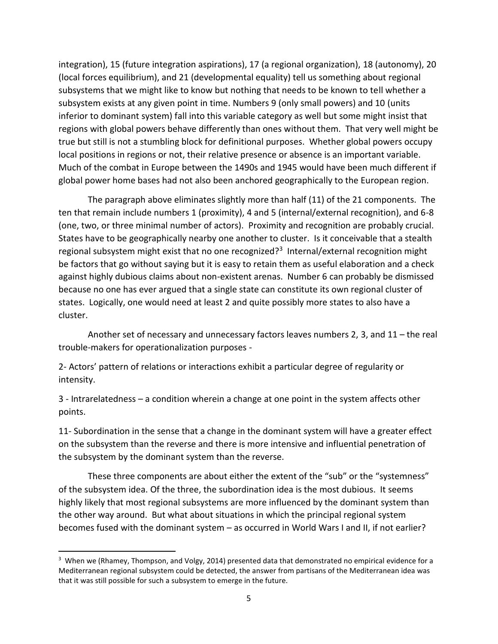integration), 15 (future integration aspirations), 17 (a regional organization), 18 (autonomy), 20 (local forces equilibrium), and 21 (developmental equality) tell us something about regional subsystems that we might like to know but nothing that needs to be known to tell whether a subsystem exists at any given point in time. Numbers 9 (only small powers) and 10 (units inferior to dominant system) fall into this variable category as well but some might insist that regions with global powers behave differently than ones without them. That very well might be true but still is not a stumbling block for definitional purposes. Whether global powers occupy local positions in regions or not, their relative presence or absence is an important variable. Much of the combat in Europe between the 1490s and 1945 would have been much different if global power home bases had not also been anchored geographically to the European region.

The paragraph above eliminates slightly more than half (11) of the 21 components. The ten that remain include numbers 1 (proximity), 4 and 5 (internal/external recognition), and 6-8 (one, two, or three minimal number of actors). Proximity and recognition are probably crucial. States have to be geographically nearby one another to cluster. Is it conceivable that a stealth regional subsystem might exist that no one recognized?<sup>3</sup> Internal/external recognition might be factors that go without saying but it is easy to retain them as useful elaboration and a check against highly dubious claims about non-existent arenas. Number 6 can probably be dismissed because no one has ever argued that a single state can constitute its own regional cluster of states. Logically, one would need at least 2 and quite possibly more states to also have a cluster.

Another set of necessary and unnecessary factors leaves numbers 2, 3, and 11 – the real trouble-makers for operationalization purposes -

2- Actors' pattern of relations or interactions exhibit a particular degree of regularity or intensity.

3 - Intrarelatedness – a condition wherein a change at one point in the system affects other points.

11- Subordination in the sense that a change in the dominant system will have a greater effect on the subsystem than the reverse and there is more intensive and influential penetration of the subsystem by the dominant system than the reverse.

These three components are about either the extent of the "sub" or the "systemness" of the subsystem idea. Of the three, the subordination idea is the most dubious. It seems highly likely that most regional subsystems are more influenced by the dominant system than the other way around. But what about situations in which the principal regional system becomes fused with the dominant system – as occurred in World Wars I and II, if not earlier?

 $\overline{\phantom{a}}$ 

<sup>&</sup>lt;sup>3</sup> When we (Rhamey, Thompson, and Volgy, 2014) presented data that demonstrated no empirical evidence for a Mediterranean regional subsystem could be detected, the answer from partisans of the Mediterranean idea was that it was still possible for such a subsystem to emerge in the future.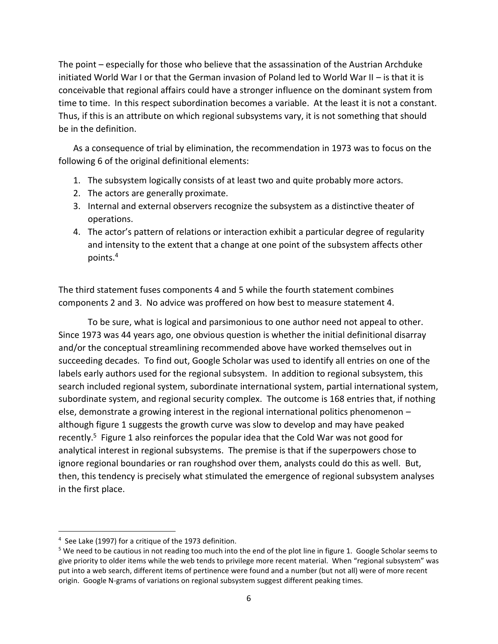The point – especially for those who believe that the assassination of the Austrian Archduke initiated World War I or that the German invasion of Poland led to World War II – is that it is conceivable that regional affairs could have a stronger influence on the dominant system from time to time. In this respect subordination becomes a variable. At the least it is not a constant. Thus, if this is an attribute on which regional subsystems vary, it is not something that should be in the definition.

As a consequence of trial by elimination, the recommendation in 1973 was to focus on the following 6 of the original definitional elements:

- 1. The subsystem logically consists of at least two and quite probably more actors.
- 2. The actors are generally proximate.
- 3. Internal and external observers recognize the subsystem as a distinctive theater of operations.
- 4. The actor's pattern of relations or interaction exhibit a particular degree of regularity and intensity to the extent that a change at one point of the subsystem affects other points.<sup>4</sup>

The third statement fuses components 4 and 5 while the fourth statement combines components 2 and 3. No advice was proffered on how best to measure statement 4.

To be sure, what is logical and parsimonious to one author need not appeal to other. Since 1973 was 44 years ago, one obvious question is whether the initial definitional disarray and/or the conceptual streamlining recommended above have worked themselves out in succeeding decades. To find out, Google Scholar was used to identify all entries on one of the labels early authors used for the regional subsystem. In addition to regional subsystem, this search included regional system, subordinate international system, partial international system, subordinate system, and regional security complex. The outcome is 168 entries that, if nothing else, demonstrate a growing interest in the regional international politics phenomenon – although figure 1 suggests the growth curve was slow to develop and may have peaked recently.<sup>5</sup> Figure 1 also reinforces the popular idea that the Cold War was not good for analytical interest in regional subsystems. The premise is that if the superpowers chose to ignore regional boundaries or ran roughshod over them, analysts could do this as well. But, then, this tendency is precisely what stimulated the emergence of regional subsystem analyses in the first place.

l

<sup>&</sup>lt;sup>4</sup> See Lake (1997) for a critique of the 1973 definition.

<sup>&</sup>lt;sup>5</sup> We need to be cautious in not reading too much into the end of the plot line in figure 1. Google Scholar seems to give priority to older items while the web tends to privilege more recent material. When "regional subsystem" was put into a web search, different items of pertinence were found and a number (but not all) were of more recent origin. Google N-grams of variations on regional subsystem suggest different peaking times.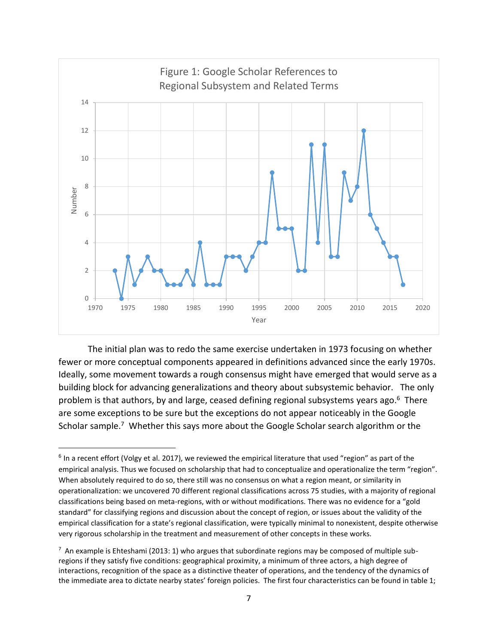

The initial plan was to redo the same exercise undertaken in 1973 focusing on whether fewer or more conceptual components appeared in definitions advanced since the early 1970s. Ideally, some movement towards a rough consensus might have emerged that would serve as a building block for advancing generalizations and theory about subsystemic behavior. The only problem is that authors, by and large, ceased defining regional subsystems years ago.<sup>6</sup> There are some exceptions to be sure but the exceptions do not appear noticeably in the Google Scholar sample.<sup>7</sup> Whether this says more about the Google Scholar search algorithm or the

 $\overline{a}$ 

 $^6$  In a recent effort (Volgy et al. 2017), we reviewed the empirical literature that used "region" as part of the empirical analysis. Thus we focused on scholarship that had to conceptualize and operationalize the term "region". When absolutely required to do so, there still was no consensus on what a region meant, or similarity in operationalization: we uncovered 70 different regional classifications across 75 studies, with a majority of regional classifications being based on meta-regions, with or without modifications. There was no evidence for a "gold standard" for classifying regions and discussion about the concept of region, or issues about the validity of the empirical classification for a state's regional classification, were typically minimal to nonexistent, despite otherwise very rigorous scholarship in the treatment and measurement of other concepts in these works.

 $^7$  An example is Ehteshami (2013: 1) who argues that subordinate regions may be composed of multiple subregions if they satisfy five conditions: geographical proximity, a minimum of three actors, a high degree of interactions, recognition of the space as a distinctive theater of operations, and the tendency of the dynamics of the immediate area to dictate nearby states' foreign policies. The first four characteristics can be found in table 1;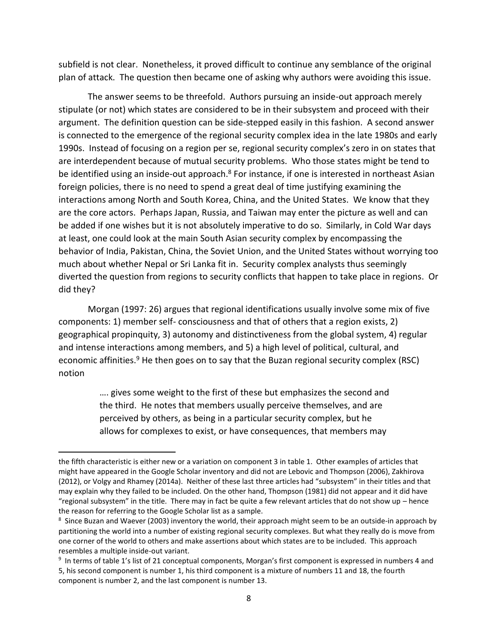subfield is not clear. Nonetheless, it proved difficult to continue any semblance of the original plan of attack. The question then became one of asking why authors were avoiding this issue.

The answer seems to be threefold. Authors pursuing an inside-out approach merely stipulate (or not) which states are considered to be in their subsystem and proceed with their argument. The definition question can be side-stepped easily in this fashion. A second answer is connected to the emergence of the regional security complex idea in the late 1980s and early 1990s. Instead of focusing on a region per se, regional security complex's zero in on states that are interdependent because of mutual security problems. Who those states might be tend to be identified using an inside-out approach.<sup>8</sup> For instance, if one is interested in northeast Asian foreign policies, there is no need to spend a great deal of time justifying examining the interactions among North and South Korea, China, and the United States. We know that they are the core actors. Perhaps Japan, Russia, and Taiwan may enter the picture as well and can be added if one wishes but it is not absolutely imperative to do so. Similarly, in Cold War days at least, one could look at the main South Asian security complex by encompassing the behavior of India, Pakistan, China, the Soviet Union, and the United States without worrying too much about whether Nepal or Sri Lanka fit in. Security complex analysts thus seemingly diverted the question from regions to security conflicts that happen to take place in regions. Or did they?

Morgan (1997: 26) argues that regional identifications usually involve some mix of five components: 1) member self- consciousness and that of others that a region exists, 2) geographical propinquity, 3) autonomy and distinctiveness from the global system, 4) regular and intense interactions among members, and 5) a high level of political, cultural, and economic affinities.<sup>9</sup> He then goes on to say that the Buzan regional security complex (RSC) notion

> …. gives some weight to the first of these but emphasizes the second and the third. He notes that members usually perceive themselves, and are perceived by others, as being in a particular security complex, but he allows for complexes to exist, or have consequences, that members may

 $\overline{a}$ 

the fifth characteristic is either new or a variation on component 3 in table 1. Other examples of articles that might have appeared in the Google Scholar inventory and did not are Lebovic and Thompson (2006), Zakhirova (2012), or Volgy and Rhamey (2014a). Neither of these last three articles had "subsystem" in their titles and that may explain why they failed to be included. On the other hand, Thompson (1981) did not appear and it did have "regional subsystem" in the title. There may in fact be quite a few relevant articles that do not show up  $-$  hence the reason for referring to the Google Scholar list as a sample.

 $^8$  Since Buzan and Waever (2003) inventory the world, their approach might seem to be an outside-in approach by partitioning the world into a number of existing regional security complexes. But what they really do is move from one corner of the world to others and make assertions about which states are to be included. This approach resembles a multiple inside-out variant.

<sup>&</sup>lt;sup>9</sup> In terms of table 1's list of 21 conceptual components, Morgan's first component is expressed in numbers 4 and 5, his second component is number 1, his third component is a mixture of numbers 11 and 18, the fourth component is number 2, and the last component is number 13.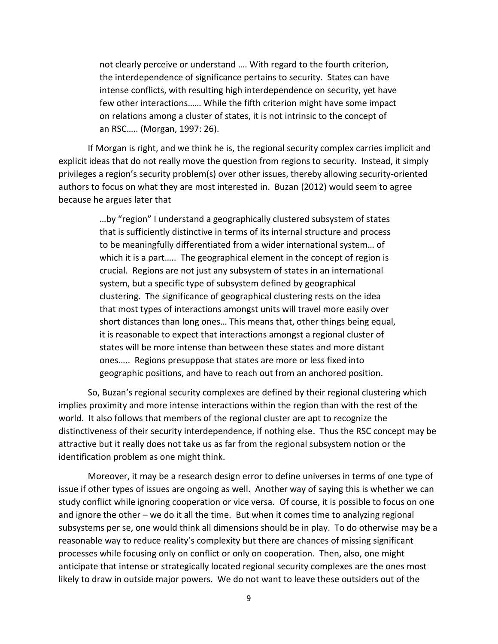not clearly perceive or understand …. With regard to the fourth criterion, the interdependence of significance pertains to security. States can have intense conflicts, with resulting high interdependence on security, yet have few other interactions…… While the fifth criterion might have some impact on relations among a cluster of states, it is not intrinsic to the concept of an RSC….. (Morgan, 1997: 26).

If Morgan is right, and we think he is, the regional security complex carries implicit and explicit ideas that do not really move the question from regions to security. Instead, it simply privileges a region's security problem(s) over other issues, thereby allowing security-oriented authors to focus on what they are most interested in. Buzan (2012) would seem to agree because he argues later that

> …by "region" I understand a geographically clustered subsystem of states that is sufficiently distinctive in terms of its internal structure and process to be meaningfully differentiated from a wider international system… of which it is a part….. The geographical element in the concept of region is crucial. Regions are not just any subsystem of states in an international system, but a specific type of subsystem defined by geographical clustering. The significance of geographical clustering rests on the idea that most types of interactions amongst units will travel more easily over short distances than long ones… This means that, other things being equal, it is reasonable to expect that interactions amongst a regional cluster of states will be more intense than between these states and more distant ones….. Regions presuppose that states are more or less fixed into geographic positions, and have to reach out from an anchored position.

So, Buzan's regional security complexes are defined by their regional clustering which implies proximity and more intense interactions within the region than with the rest of the world. It also follows that members of the regional cluster are apt to recognize the distinctiveness of their security interdependence, if nothing else. Thus the RSC concept may be attractive but it really does not take us as far from the regional subsystem notion or the identification problem as one might think.

Moreover, it may be a research design error to define universes in terms of one type of issue if other types of issues are ongoing as well. Another way of saying this is whether we can study conflict while ignoring cooperation or vice versa. Of course, it is possible to focus on one and ignore the other – we do it all the time. But when it comes time to analyzing regional subsystems per se, one would think all dimensions should be in play. To do otherwise may be a reasonable way to reduce reality's complexity but there are chances of missing significant processes while focusing only on conflict or only on cooperation. Then, also, one might anticipate that intense or strategically located regional security complexes are the ones most likely to draw in outside major powers. We do not want to leave these outsiders out of the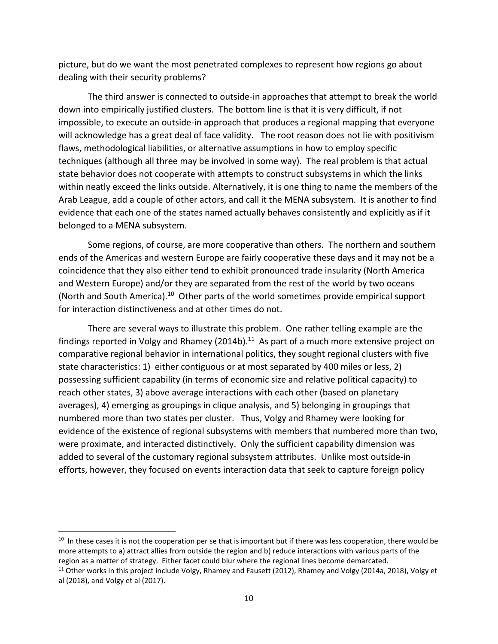picture, but do we want the most penetrated complexes to represent how regions go about dealing with their security problems?

The third answer is connected to outside-in approaches that attempt to break the world down into empirically justified clusters. The bottom line is that it is very difficult, if not impossible, to execute an outside-in approach that produces a regional mapping that everyone will acknowledge has a great deal of face validity. The root reason does not lie with positivism flaws, methodological liabilities, or alternative assumptions in how to employ specific techniques (although all three may be involved in some way). The real problem is that actual state behavior does not cooperate with attempts to construct subsystems in which the links within neatly exceed the links outside. Alternatively, it is one thing to name the members of the Arab League, add a couple of other actors, and call it the MENA subsystem. It is another to find evidence that each one of the states named actually behaves consistently and explicitly as if it belonged to a MENA subsystem.

Some regions, of course, are more cooperative than others. The northern and southern ends of the Americas and western Europe are fairly cooperative these days and it may not be a coincidence that they also either tend to exhibit pronounced trade insularity (North America and Western Europe) and/or they are separated from the rest of the world by two oceans (North and South America).<sup>10</sup> Other parts of the world sometimes provide empirical support for interaction distinctiveness and at other times do not.

There are several ways to illustrate this problem. One rather telling example are the findings reported in Volgy and Rhamey (2014b). $^{11}$  As part of a much more extensive project on comparative regional behavior in international politics, they sought regional clusters with five state characteristics: 1) either contiguous or at most separated by 400 miles or less, 2) possessing sufficient capability (in terms of economic size and relative political capacity) to reach other states, 3) above average interactions with each other (based on planetary averages), 4) emerging as groupings in clique analysis, and 5) belonging in groupings that numbered more than two states per cluster. Thus, Volgy and Rhamey were looking for evidence of the existence of regional subsystems with members that numbered more than two, were proximate, and interacted distinctively. Only the sufficient capability dimension was added to several of the customary regional subsystem attributes. Unlike most outside-in efforts, however, they focused on events interaction data that seek to capture foreign policy

l

 $10$  In these cases it is not the cooperation per se that is important but if there was less cooperation, there would be more attempts to a) attract allies from outside the region and b) reduce interactions with various parts of the region as a matter of strategy. Either facet could blur where the regional lines become demarcated.

<sup>&</sup>lt;sup>11</sup> Other works in this project include Volgy, Rhamey and Fausett (2012), Rhamey and Volgy (2014a, 2018), Volgy et al (2018), and Volgy et al (2017).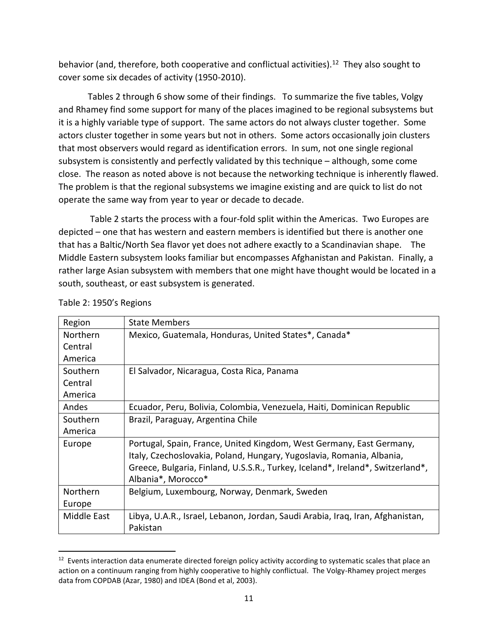behavior (and, therefore, both cooperative and conflictual activities).<sup>12</sup> They also sought to cover some six decades of activity (1950-2010).

Tables 2 through 6 show some of their findings. To summarize the five tables, Volgy and Rhamey find some support for many of the places imagined to be regional subsystems but it is a highly variable type of support. The same actors do not always cluster together. Some actors cluster together in some years but not in others. Some actors occasionally join clusters that most observers would regard as identification errors. In sum, not one single regional subsystem is consistently and perfectly validated by this technique – although, some come close. The reason as noted above is not because the networking technique is inherently flawed. The problem is that the regional subsystems we imagine existing and are quick to list do not operate the same way from year to year or decade to decade.

Table 2 starts the process with a four-fold split within the Americas. Two Europes are depicted – one that has western and eastern members is identified but there is another one that has a Baltic/North Sea flavor yet does not adhere exactly to a Scandinavian shape. The Middle Eastern subsystem looks familiar but encompasses Afghanistan and Pakistan. Finally, a rather large Asian subsystem with members that one might have thought would be located in a south, southeast, or east subsystem is generated.

| Region          | <b>State Members</b>                                                           |  |  |  |  |  |
|-----------------|--------------------------------------------------------------------------------|--|--|--|--|--|
| <b>Northern</b> | Mexico, Guatemala, Honduras, United States*, Canada*                           |  |  |  |  |  |
| Central         |                                                                                |  |  |  |  |  |
| America         |                                                                                |  |  |  |  |  |
| Southern        | El Salvador, Nicaragua, Costa Rica, Panama                                     |  |  |  |  |  |
| Central         |                                                                                |  |  |  |  |  |
| America         |                                                                                |  |  |  |  |  |
| Andes           | Ecuador, Peru, Bolivia, Colombia, Venezuela, Haiti, Dominican Republic         |  |  |  |  |  |
| Southern        | Brazil, Paraguay, Argentina Chile                                              |  |  |  |  |  |
| America         |                                                                                |  |  |  |  |  |
| Europe          | Portugal, Spain, France, United Kingdom, West Germany, East Germany,           |  |  |  |  |  |
|                 | Italy, Czechoslovakia, Poland, Hungary, Yugoslavia, Romania, Albania,          |  |  |  |  |  |
|                 | Greece, Bulgaria, Finland, U.S.S.R., Turkey, Iceland*, Ireland*, Switzerland*, |  |  |  |  |  |
|                 | Albania*, Morocco*                                                             |  |  |  |  |  |
| Northern        | Belgium, Luxembourg, Norway, Denmark, Sweden                                   |  |  |  |  |  |
| Europe          |                                                                                |  |  |  |  |  |
| Middle East     | Libya, U.A.R., Israel, Lebanon, Jordan, Saudi Arabia, Iraq, Iran, Afghanistan, |  |  |  |  |  |
|                 | Pakistan                                                                       |  |  |  |  |  |

Table 2: 1950's Regions

 $\overline{\phantom{a}}$ 

<sup>&</sup>lt;sup>12</sup> Events interaction data enumerate directed foreign policy activity according to systematic scales that place an action on a continuum ranging from highly cooperative to highly conflictual. The Volgy-Rhamey project merges data from COPDAB (Azar, 1980) and IDEA (Bond et al, 2003).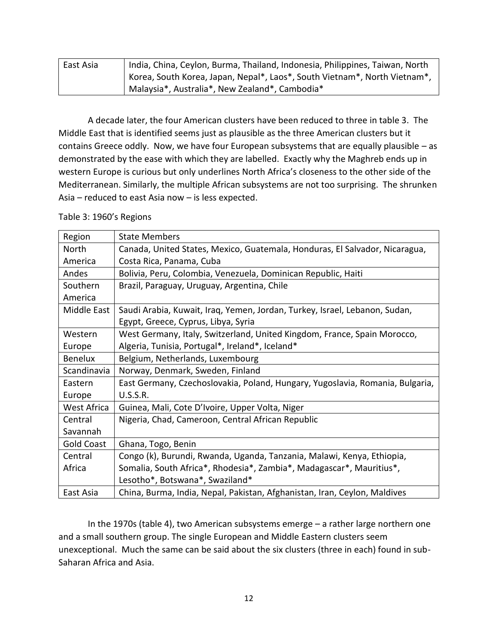| East Asia | India, China, Ceylon, Burma, Thailand, Indonesia, Philippines, Taiwan, North |  |  |  |  |  |
|-----------|------------------------------------------------------------------------------|--|--|--|--|--|
|           | Korea, South Korea, Japan, Nepal*, Laos*, South Vietnam*, North Vietnam*,    |  |  |  |  |  |
|           | Malaysia*, Australia*, New Zealand*, Cambodia*                               |  |  |  |  |  |

A decade later, the four American clusters have been reduced to three in table 3. The Middle East that is identified seems just as plausible as the three American clusters but it contains Greece oddly. Now, we have four European subsystems that are equally plausible – as demonstrated by the ease with which they are labelled. Exactly why the Maghreb ends up in western Europe is curious but only underlines North Africa's closeness to the other side of the Mediterranean. Similarly, the multiple African subsystems are not too surprising. The shrunken Asia – reduced to east Asia now – is less expected.

| Region            | <b>State Members</b>                                                          |
|-------------------|-------------------------------------------------------------------------------|
| North             | Canada, United States, Mexico, Guatemala, Honduras, El Salvador, Nicaragua,   |
| America           | Costa Rica, Panama, Cuba                                                      |
| Andes             | Bolivia, Peru, Colombia, Venezuela, Dominican Republic, Haiti                 |
| Southern          | Brazil, Paraguay, Uruguay, Argentina, Chile                                   |
| America           |                                                                               |
| Middle East       | Saudi Arabia, Kuwait, Iraq, Yemen, Jordan, Turkey, Israel, Lebanon, Sudan,    |
|                   | Egypt, Greece, Cyprus, Libya, Syria                                           |
| Western           | West Germany, Italy, Switzerland, United Kingdom, France, Spain Morocco,      |
| Europe            | Algeria, Tunisia, Portugal*, Ireland*, Iceland*                               |
| <b>Benelux</b>    | Belgium, Netherlands, Luxembourg                                              |
| Scandinavia       | Norway, Denmark, Sweden, Finland                                              |
| Eastern           | East Germany, Czechoslovakia, Poland, Hungary, Yugoslavia, Romania, Bulgaria, |
| Europe            | U.S.S.R.                                                                      |
| West Africa       | Guinea, Mali, Cote D'Ivoire, Upper Volta, Niger                               |
| Central           | Nigeria, Chad, Cameroon, Central African Republic                             |
| Savannah          |                                                                               |
| <b>Gold Coast</b> | Ghana, Togo, Benin                                                            |
| Central           | Congo (k), Burundi, Rwanda, Uganda, Tanzania, Malawi, Kenya, Ethiopia,        |
| Africa            | Somalia, South Africa*, Rhodesia*, Zambia*, Madagascar*, Mauritius*,          |
|                   | Lesotho*, Botswana*, Swaziland*                                               |
| East Asia         | China, Burma, India, Nepal, Pakistan, Afghanistan, Iran, Ceylon, Maldives     |

Table 3: 1960's Regions

In the 1970s (table 4), two American subsystems emerge – a rather large northern one and a small southern group. The single European and Middle Eastern clusters seem unexceptional. Much the same can be said about the six clusters (three in each) found in sub-Saharan Africa and Asia.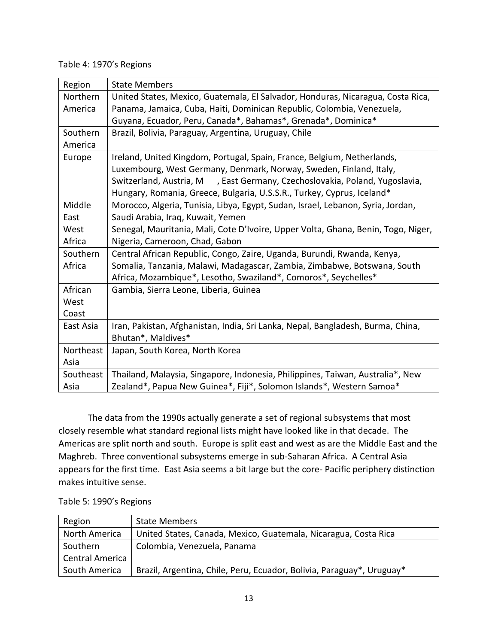## Table 4: 1970's Regions

| Region    | <b>State Members</b>                                                              |
|-----------|-----------------------------------------------------------------------------------|
| Northern  | United States, Mexico, Guatemala, El Salvador, Honduras, Nicaragua, Costa Rica,   |
| America   | Panama, Jamaica, Cuba, Haiti, Dominican Republic, Colombia, Venezuela,            |
|           | Guyana, Ecuador, Peru, Canada*, Bahamas*, Grenada*, Dominica*                     |
| Southern  | Brazil, Bolivia, Paraguay, Argentina, Uruguay, Chile                              |
| America   |                                                                                   |
| Europe    | Ireland, United Kingdom, Portugal, Spain, France, Belgium, Netherlands,           |
|           | Luxembourg, West Germany, Denmark, Norway, Sweden, Finland, Italy,                |
|           | Switzerland, Austria, M , East Germany, Czechoslovakia, Poland, Yugoslavia,       |
|           | Hungary, Romania, Greece, Bulgaria, U.S.S.R., Turkey, Cyprus, Iceland*            |
| Middle    | Morocco, Algeria, Tunisia, Libya, Egypt, Sudan, Israel, Lebanon, Syria, Jordan,   |
| East      | Saudi Arabia, Iraq, Kuwait, Yemen                                                 |
| West      | Senegal, Mauritania, Mali, Cote D'Ivoire, Upper Volta, Ghana, Benin, Togo, Niger, |
| Africa    | Nigeria, Cameroon, Chad, Gabon                                                    |
| Southern  | Central African Republic, Congo, Zaire, Uganda, Burundi, Rwanda, Kenya,           |
| Africa    | Somalia, Tanzania, Malawi, Madagascar, Zambia, Zimbabwe, Botswana, South          |
|           | Africa, Mozambique*, Lesotho, Swaziland*, Comoros*, Seychelles*                   |
| African   | Gambia, Sierra Leone, Liberia, Guinea                                             |
| West      |                                                                                   |
| Coast     |                                                                                   |
| East Asia | Iran, Pakistan, Afghanistan, India, Sri Lanka, Nepal, Bangladesh, Burma, China,   |
|           | Bhutan*, Maldives*                                                                |
| Northeast | Japan, South Korea, North Korea                                                   |
| Asia      |                                                                                   |
| Southeast | Thailand, Malaysia, Singapore, Indonesia, Philippines, Taiwan, Australia*, New    |
| Asia      | Zealand*, Papua New Guinea*, Fiji*, Solomon Islands*, Western Samoa*              |

The data from the 1990s actually generate a set of regional subsystems that most closely resemble what standard regional lists might have looked like in that decade. The Americas are split north and south. Europe is split east and west as are the Middle East and the Maghreb. Three conventional subsystems emerge in sub-Saharan Africa. A Central Asia appears for the first time. East Asia seems a bit large but the core- Pacific periphery distinction makes intuitive sense.

| Region                 | <b>State Members</b>                                                  |
|------------------------|-----------------------------------------------------------------------|
| North America          | United States, Canada, Mexico, Guatemala, Nicaragua, Costa Rica       |
| Southern               | Colombia, Venezuela, Panama                                           |
| <b>Central America</b> |                                                                       |
| South America          | Brazil, Argentina, Chile, Peru, Ecuador, Bolivia, Paraguay*, Uruguay* |

Table 5: 1990's Regions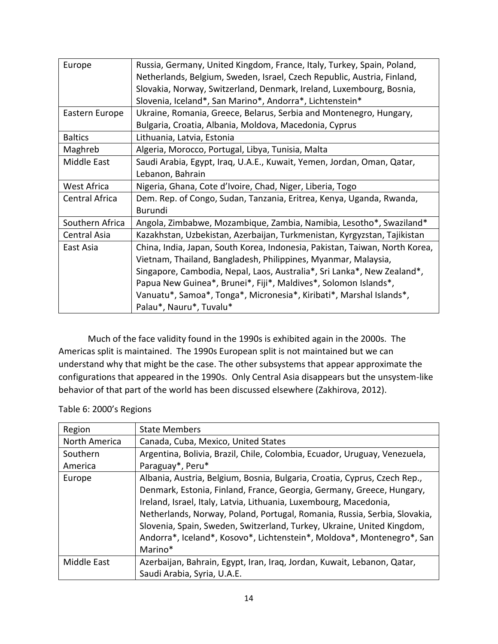| Europe          | Russia, Germany, United Kingdom, France, Italy, Turkey, Spain, Poland,      |  |  |  |  |  |
|-----------------|-----------------------------------------------------------------------------|--|--|--|--|--|
|                 | Netherlands, Belgium, Sweden, Israel, Czech Republic, Austria, Finland,     |  |  |  |  |  |
|                 | Slovakia, Norway, Switzerland, Denmark, Ireland, Luxembourg, Bosnia,        |  |  |  |  |  |
|                 | Slovenia, Iceland*, San Marino*, Andorra*, Lichtenstein*                    |  |  |  |  |  |
| Eastern Europe  | Ukraine, Romania, Greece, Belarus, Serbia and Montenegro, Hungary,          |  |  |  |  |  |
|                 | Bulgaria, Croatia, Albania, Moldova, Macedonia, Cyprus                      |  |  |  |  |  |
| <b>Baltics</b>  | Lithuania, Latvia, Estonia                                                  |  |  |  |  |  |
| Maghreb         | Algeria, Morocco, Portugal, Libya, Tunisia, Malta                           |  |  |  |  |  |
| Middle East     | Saudi Arabia, Egypt, Iraq, U.A.E., Kuwait, Yemen, Jordan, Oman, Qatar,      |  |  |  |  |  |
|                 | Lebanon, Bahrain                                                            |  |  |  |  |  |
| West Africa     | Nigeria, Ghana, Cote d'Ivoire, Chad, Niger, Liberia, Togo                   |  |  |  |  |  |
| Central Africa  | Dem. Rep. of Congo, Sudan, Tanzania, Eritrea, Kenya, Uganda, Rwanda,        |  |  |  |  |  |
|                 | <b>Burundi</b>                                                              |  |  |  |  |  |
| Southern Africa | Angola, Zimbabwe, Mozambique, Zambia, Namibia, Lesotho*, Swaziland*         |  |  |  |  |  |
| Central Asia    | Kazakhstan, Uzbekistan, Azerbaijan, Turkmenistan, Kyrgyzstan, Tajikistan    |  |  |  |  |  |
| East Asia       | China, India, Japan, South Korea, Indonesia, Pakistan, Taiwan, North Korea, |  |  |  |  |  |
|                 | Vietnam, Thailand, Bangladesh, Philippines, Myanmar, Malaysia,              |  |  |  |  |  |
|                 | Singapore, Cambodia, Nepal, Laos, Australia*, Sri Lanka*, New Zealand*,     |  |  |  |  |  |
|                 | Papua New Guinea*, Brunei*, Fiji*, Maldives*, Solomon Islands*,             |  |  |  |  |  |
|                 | Vanuatu*, Samoa*, Tonga*, Micronesia*, Kiribati*, Marshal Islands*,         |  |  |  |  |  |
|                 | Palau*, Nauru*, Tuvalu*                                                     |  |  |  |  |  |

Much of the face validity found in the 1990s is exhibited again in the 2000s. The Americas split is maintained. The 1990s European split is not maintained but we can understand why that might be the case. The other subsystems that appear approximate the configurations that appeared in the 1990s. Only Central Asia disappears but the unsystem-like behavior of that part of the world has been discussed elsewhere (Zakhirova, 2012).

| Table 6: 2000's Regions |  |
|-------------------------|--|
|-------------------------|--|

| Region                                                                 | <b>State Members</b>                                                      |  |  |  |  |
|------------------------------------------------------------------------|---------------------------------------------------------------------------|--|--|--|--|
| North America                                                          | Canada, Cuba, Mexico, United States                                       |  |  |  |  |
| Southern                                                               | Argentina, Bolivia, Brazil, Chile, Colombia, Ecuador, Uruguay, Venezuela, |  |  |  |  |
| America                                                                | Paraguay*, Peru*                                                          |  |  |  |  |
| Europe                                                                 | Albania, Austria, Belgium, Bosnia, Bulgaria, Croatia, Cyprus, Czech Rep., |  |  |  |  |
| Denmark, Estonia, Finland, France, Georgia, Germany, Greece, Hungary,  |                                                                           |  |  |  |  |
|                                                                        | Ireland, Israel, Italy, Latvia, Lithuania, Luxembourg, Macedonia,         |  |  |  |  |
|                                                                        | Netherlands, Norway, Poland, Portugal, Romania, Russia, Serbia, Slovakia, |  |  |  |  |
|                                                                        | Slovenia, Spain, Sweden, Switzerland, Turkey, Ukraine, United Kingdom,    |  |  |  |  |
| Andorra*, Iceland*, Kosovo*, Lichtenstein*, Moldova*, Montenegro*, San |                                                                           |  |  |  |  |
|                                                                        | Marino*                                                                   |  |  |  |  |
| <b>Middle East</b>                                                     | Azerbaijan, Bahrain, Egypt, Iran, Iraq, Jordan, Kuwait, Lebanon, Qatar,   |  |  |  |  |
|                                                                        | Saudi Arabia, Syria, U.A.E.                                               |  |  |  |  |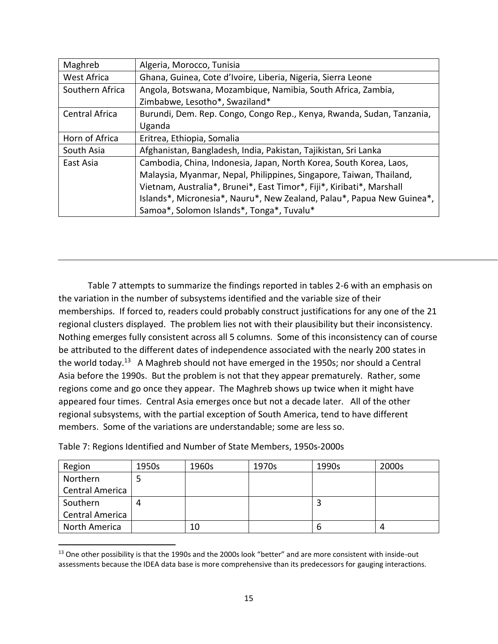| Maghreb         | Algeria, Morocco, Tunisia                                              |
|-----------------|------------------------------------------------------------------------|
| West Africa     | Ghana, Guinea, Cote d'Ivoire, Liberia, Nigeria, Sierra Leone           |
| Southern Africa | Angola, Botswana, Mozambique, Namibia, South Africa, Zambia,           |
|                 | Zimbabwe, Lesotho*, Swaziland*                                         |
| Central Africa  | Burundi, Dem. Rep. Congo, Congo Rep., Kenya, Rwanda, Sudan, Tanzania,  |
|                 | Uganda                                                                 |
| Horn of Africa  | Eritrea, Ethiopia, Somalia                                             |
| South Asia      | Afghanistan, Bangladesh, India, Pakistan, Tajikistan, Sri Lanka        |
| East Asia       | Cambodia, China, Indonesia, Japan, North Korea, South Korea, Laos,     |
|                 | Malaysia, Myanmar, Nepal, Philippines, Singapore, Taiwan, Thailand,    |
|                 | Vietnam, Australia*, Brunei*, East Timor*, Fiji*, Kiribati*, Marshall  |
|                 | Islands*, Micronesia*, Nauru*, New Zealand, Palau*, Papua New Guinea*, |
|                 | Samoa*, Solomon Islands*, Tonga*, Tuvalu*                              |

Table 7 attempts to summarize the findings reported in tables 2-6 with an emphasis on the variation in the number of subsystems identified and the variable size of their memberships. If forced to, readers could probably construct justifications for any one of the 21 regional clusters displayed. The problem lies not with their plausibility but their inconsistency. Nothing emerges fully consistent across all 5 columns. Some of this inconsistency can of course be attributed to the different dates of independence associated with the nearly 200 states in the world today.<sup>13</sup> A Maghreb should not have emerged in the 1950s; nor should a Central Asia before the 1990s. But the problem is not that they appear prematurely. Rather, some regions come and go once they appear. The Maghreb shows up twice when it might have appeared four times. Central Asia emerges once but not a decade later. All of the other regional subsystems, with the partial exception of South America, tend to have different members. Some of the variations are understandable; some are less so.

Table 7: Regions Identified and Number of State Members, 1950s-2000s

l

| Region                 | 1950s | 1960s | 1970s | 1990s | 2000s |
|------------------------|-------|-------|-------|-------|-------|
| Northern               |       |       |       |       |       |
| <b>Central America</b> |       |       |       |       |       |
| Southern               |       |       |       |       |       |
| <b>Central America</b> |       |       |       |       |       |
| North America          |       | 10    |       | n     |       |

<sup>&</sup>lt;sup>13</sup> One other possibility is that the 1990s and the 2000s look "better" and are more consistent with inside-out assessments because the IDEA data base is more comprehensive than its predecessors for gauging interactions.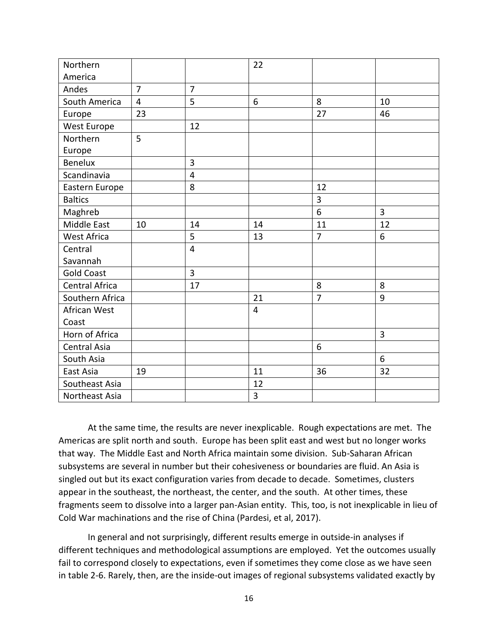| Northern            |                |                | 22             |                |                |
|---------------------|----------------|----------------|----------------|----------------|----------------|
| America             |                |                |                |                |                |
| Andes               | $\overline{7}$ | $\overline{7}$ |                |                |                |
| South America       | $\overline{4}$ | 5              | 6              | 8              | 10             |
| Europe              | 23             |                |                | 27             | 46             |
| West Europe         |                | 12             |                |                |                |
| Northern            | 5              |                |                |                |                |
| Europe              |                |                |                |                |                |
| <b>Benelux</b>      |                | 3              |                |                |                |
| Scandinavia         |                | $\overline{4}$ |                |                |                |
| Eastern Europe      |                | 8              |                | 12             |                |
| <b>Baltics</b>      |                |                |                | 3              |                |
| Maghreb             |                |                |                | 6              | $\overline{3}$ |
| Middle East         | 10             | 14             | 14             | 11             | 12             |
| <b>West Africa</b>  |                | 5              | 13             | $\overline{7}$ | 6              |
| Central             |                | $\overline{4}$ |                |                |                |
| Savannah            |                |                |                |                |                |
| <b>Gold Coast</b>   |                | 3              |                |                |                |
| Central Africa      |                | 17             |                | 8              | 8              |
| Southern Africa     |                |                | 21             | $\overline{7}$ | 9              |
| African West        |                |                | $\overline{4}$ |                |                |
| Coast               |                |                |                |                |                |
| Horn of Africa      |                |                |                |                | $\overline{3}$ |
| <b>Central Asia</b> |                |                |                | 6              |                |
| South Asia          |                |                |                |                | 6              |
| East Asia           | 19             |                | 11             | 36             | 32             |
| Southeast Asia      |                |                | 12             |                |                |
| Northeast Asia      |                |                | 3              |                |                |

At the same time, the results are never inexplicable. Rough expectations are met. The Americas are split north and south. Europe has been split east and west but no longer works that way. The Middle East and North Africa maintain some division. Sub-Saharan African subsystems are several in number but their cohesiveness or boundaries are fluid. An Asia is singled out but its exact configuration varies from decade to decade. Sometimes, clusters appear in the southeast, the northeast, the center, and the south. At other times, these fragments seem to dissolve into a larger pan-Asian entity. This, too, is not inexplicable in lieu of Cold War machinations and the rise of China (Pardesi, et al, 2017).

In general and not surprisingly, different results emerge in outside-in analyses if different techniques and methodological assumptions are employed. Yet the outcomes usually fail to correspond closely to expectations, even if sometimes they come close as we have seen in table 2-6. Rarely, then, are the inside-out images of regional subsystems validated exactly by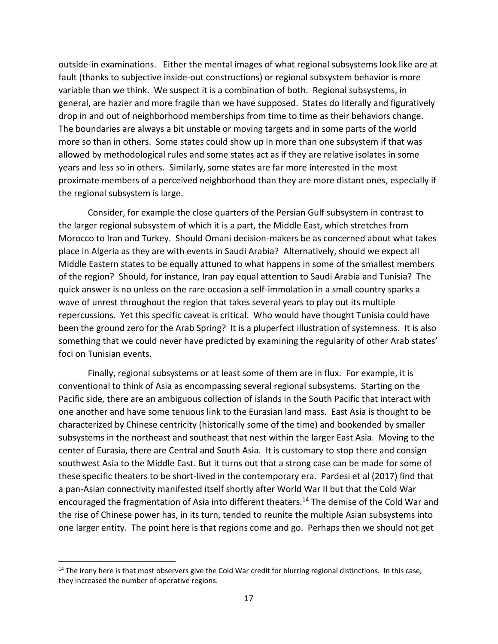outside-in examinations. Either the mental images of what regional subsystems look like are at fault (thanks to subjective inside-out constructions) or regional subsystem behavior is more variable than we think. We suspect it is a combination of both. Regional subsystems, in general, are hazier and more fragile than we have supposed. States do literally and figuratively drop in and out of neighborhood memberships from time to time as their behaviors change. The boundaries are always a bit unstable or moving targets and in some parts of the world more so than in others. Some states could show up in more than one subsystem if that was allowed by methodological rules and some states act as if they are relative isolates in some years and less so in others. Similarly, some states are far more interested in the most proximate members of a perceived neighborhood than they are more distant ones, especially if the regional subsystem is large.

Consider, for example the close quarters of the Persian Gulf subsystem in contrast to the larger regional subsystem of which it is a part, the Middle East, which stretches from Morocco to Iran and Turkey. Should Omani decision-makers be as concerned about what takes place in Algeria as they are with events in Saudi Arabia? Alternatively, should we expect all Middle Eastern states to be equally attuned to what happens in some of the smallest members of the region? Should, for instance, Iran pay equal attention to Saudi Arabia and Tunisia? The quick answer is no unless on the rare occasion a self-immolation in a small country sparks a wave of unrest throughout the region that takes several years to play out its multiple repercussions. Yet this specific caveat is critical. Who would have thought Tunisia could have been the ground zero for the Arab Spring? It is a pluperfect illustration of systemness. It is also something that we could never have predicted by examining the regularity of other Arab states' foci on Tunisian events.

Finally, regional subsystems or at least some of them are in flux. For example, it is conventional to think of Asia as encompassing several regional subsystems. Starting on the Pacific side, there are an ambiguous collection of islands in the South Pacific that interact with one another and have some tenuous link to the Eurasian land mass. East Asia is thought to be characterized by Chinese centricity (historically some of the time) and bookended by smaller subsystems in the northeast and southeast that nest within the larger East Asia. Moving to the center of Eurasia, there are Central and South Asia. It is customary to stop there and consign southwest Asia to the Middle East. But it turns out that a strong case can be made for some of these specific theaters to be short-lived in the contemporary era. Pardesi et al (2017) find that a pan-Asian connectivity manifested itself shortly after World War II but that the Cold War encouraged the fragmentation of Asia into different theaters.<sup>14</sup> The demise of the Cold War and the rise of Chinese power has, in its turn, tended to reunite the multiple Asian subsystems into one larger entity. The point here is that regions come and go. Perhaps then we should not get

l

 $14$  The irony here is that most observers give the Cold War credit for blurring regional distinctions. In this case, they increased the number of operative regions.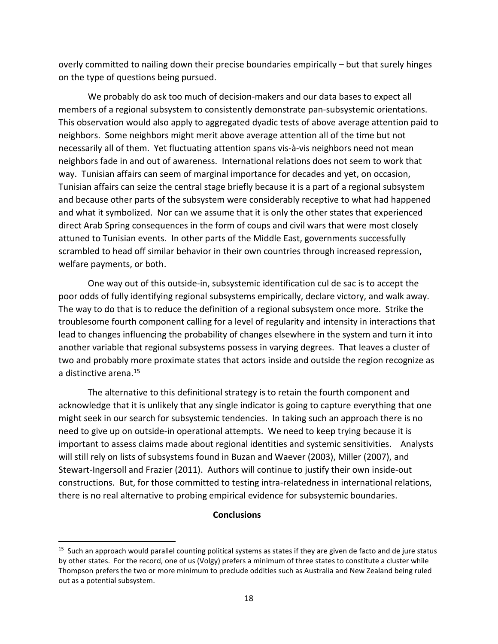overly committed to nailing down their precise boundaries empirically – but that surely hinges on the type of questions being pursued.

We probably do ask too much of decision-makers and our data bases to expect all members of a regional subsystem to consistently demonstrate pan-subsystemic orientations. This observation would also apply to aggregated dyadic tests of above average attention paid to neighbors. Some neighbors might merit above average attention all of the time but not necessarily all of them. Yet fluctuating attention spans vis-à-vis neighbors need not mean neighbors fade in and out of awareness. International relations does not seem to work that way. Tunisian affairs can seem of marginal importance for decades and yet, on occasion, Tunisian affairs can seize the central stage briefly because it is a part of a regional subsystem and because other parts of the subsystem were considerably receptive to what had happened and what it symbolized. Nor can we assume that it is only the other states that experienced direct Arab Spring consequences in the form of coups and civil wars that were most closely attuned to Tunisian events. In other parts of the Middle East, governments successfully scrambled to head off similar behavior in their own countries through increased repression, welfare payments, or both.

One way out of this outside-in, subsystemic identification cul de sac is to accept the poor odds of fully identifying regional subsystems empirically, declare victory, and walk away. The way to do that is to reduce the definition of a regional subsystem once more. Strike the troublesome fourth component calling for a level of regularity and intensity in interactions that lead to changes influencing the probability of changes elsewhere in the system and turn it into another variable that regional subsystems possess in varying degrees. That leaves a cluster of two and probably more proximate states that actors inside and outside the region recognize as a distinctive arena.<sup>15</sup>

The alternative to this definitional strategy is to retain the fourth component and acknowledge that it is unlikely that any single indicator is going to capture everything that one might seek in our search for subsystemic tendencies. In taking such an approach there is no need to give up on outside-in operational attempts. We need to keep trying because it is important to assess claims made about regional identities and systemic sensitivities. Analysts will still rely on lists of subsystems found in Buzan and Waever (2003), Miller (2007), and Stewart-Ingersoll and Frazier (2011). Authors will continue to justify their own inside-out constructions. But, for those committed to testing intra-relatedness in international relations, there is no real alternative to probing empirical evidence for subsystemic boundaries.

### **Conclusions**

 $\overline{a}$ 

<sup>&</sup>lt;sup>15</sup> Such an approach would parallel counting political systems as states if they are given de facto and de jure status by other states. For the record, one of us (Volgy) prefers a minimum of three states to constitute a cluster while Thompson prefers the two or more minimum to preclude oddities such as Australia and New Zealand being ruled out as a potential subsystem.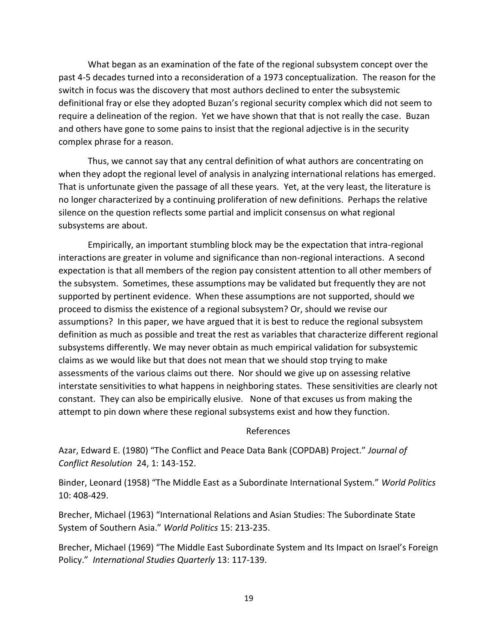What began as an examination of the fate of the regional subsystem concept over the past 4-5 decades turned into a reconsideration of a 1973 conceptualization. The reason for the switch in focus was the discovery that most authors declined to enter the subsystemic definitional fray or else they adopted Buzan's regional security complex which did not seem to require a delineation of the region. Yet we have shown that that is not really the case. Buzan and others have gone to some pains to insist that the regional adjective is in the security complex phrase for a reason.

Thus, we cannot say that any central definition of what authors are concentrating on when they adopt the regional level of analysis in analyzing international relations has emerged. That is unfortunate given the passage of all these years. Yet, at the very least, the literature is no longer characterized by a continuing proliferation of new definitions. Perhaps the relative silence on the question reflects some partial and implicit consensus on what regional subsystems are about.

Empirically, an important stumbling block may be the expectation that intra-regional interactions are greater in volume and significance than non-regional interactions. A second expectation is that all members of the region pay consistent attention to all other members of the subsystem. Sometimes, these assumptions may be validated but frequently they are not supported by pertinent evidence. When these assumptions are not supported, should we proceed to dismiss the existence of a regional subsystem? Or, should we revise our assumptions? In this paper, we have argued that it is best to reduce the regional subsystem definition as much as possible and treat the rest as variables that characterize different regional subsystems differently. We may never obtain as much empirical validation for subsystemic claims as we would like but that does not mean that we should stop trying to make assessments of the various claims out there. Nor should we give up on assessing relative interstate sensitivities to what happens in neighboring states. These sensitivities are clearly not constant. They can also be empirically elusive. None of that excuses us from making the attempt to pin down where these regional subsystems exist and how they function.

#### References

Azar, Edward E. (1980) "The Conflict and Peace Data Bank (COPDAB) Project." *Journal of Conflict Resolution* 24, 1: 143-152.

Binder, Leonard (1958) "The Middle East as a Subordinate International System." *World Politics* 10: 408-429.

Brecher, Michael (1963) "International Relations and Asian Studies: The Subordinate State System of Southern Asia." *World Politics* 15: 213-235.

Brecher, Michael (1969) "The Middle East Subordinate System and Its Impact on Israel's Foreign Policy." *International Studies Quarterly* 13: 117-139.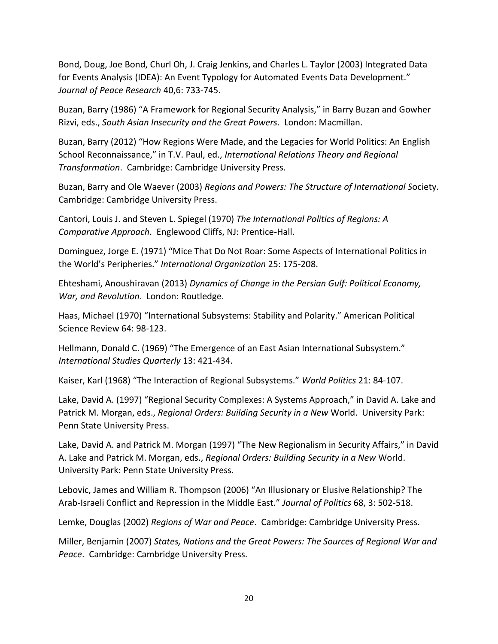Bond, Doug, Joe Bond, Churl Oh, J. Craig Jenkins, and Charles L. Taylor (2003) Integrated Data for Events Analysis (IDEA): An Event Typology for Automated Events Data Development." *Journal of Peace Research* 40,6: 733-745.

Buzan, Barry (1986) "A Framework for Regional Security Analysis," in Barry Buzan and Gowher Rizvi, eds., *South Asian Insecurity and the Great Powers*. London: Macmillan.

Buzan, Barry (2012) "How Regions Were Made, and the Legacies for World Politics: An English School Reconnaissance," in T.V. Paul, ed., *International Relations Theory and Regional Transformation*. Cambridge: Cambridge University Press.

Buzan, Barry and Ole Waever (2003) *Regions and Powers: The Structure of International S*ociety. Cambridge: Cambridge University Press.

Cantori, Louis J. and Steven L. Spiegel (1970) *The International Politics of Regions: A Comparative Approach*. Englewood Cliffs, NJ: Prentice-Hall.

Dominguez, Jorge E. (1971) "Mice That Do Not Roar: Some Aspects of International Politics in the World's Peripheries." *International Organization* 25: 175-208.

Ehteshami, Anoushiravan (2013) *Dynamics of Change in the Persian Gulf: Political Economy, War, and Revolution*. London: Routledge.

Haas, Michael (1970) "International Subsystems: Stability and Polarity." American Political Science Review 64: 98-123.

Hellmann, Donald C. (1969) "The Emergence of an East Asian International Subsystem." *International Studies Quarterly* 13: 421-434.

Kaiser, Karl (1968) "The Interaction of Regional Subsystems." *World Politics* 21: 84-107.

Lake, David A. (1997) "Regional Security Complexes: A Systems Approach," in David A. Lake and Patrick M. Morgan, eds., *Regional Orders: Building Security in a New* World. University Park: Penn State University Press.

Lake, David A. and Patrick M. Morgan (1997) "The New Regionalism in Security Affairs," in David A. Lake and Patrick M. Morgan, eds., *Regional Orders: Building Security in a New* World. University Park: Penn State University Press.

Lebovic, James and William R. Thompson (2006) "An Illusionary or Elusive Relationship? The Arab-Israeli Conflict and Repression in the Middle East." *Journal of Politics* 68, 3: 502-518.

Lemke, Douglas (2002) *Regions of War and Peace*. Cambridge: Cambridge University Press.

Miller, Benjamin (2007) *States, Nations and the Great Powers: The Sources of Regional War and Peace*. Cambridge: Cambridge University Press.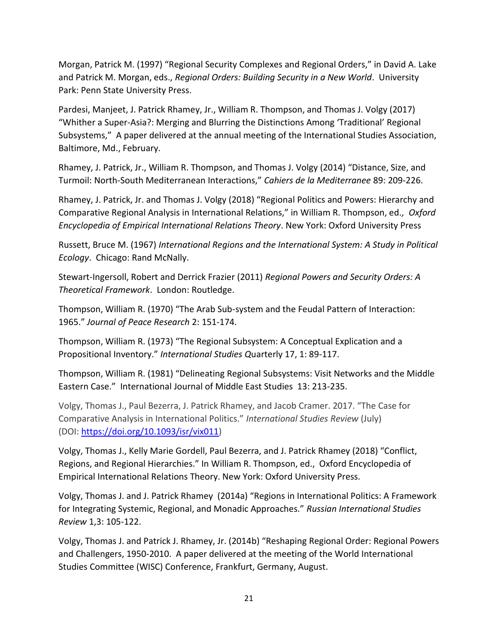Morgan, Patrick M. (1997) "Regional Security Complexes and Regional Orders," in David A. Lake and Patrick M. Morgan, eds., *Regional Orders: Building Security in a New World*. University Park: Penn State University Press.

Pardesi, Manjeet, J. Patrick Rhamey, Jr., William R. Thompson, and Thomas J. Volgy (2017) "Whither a Super-Asia?: Merging and Blurring the Distinctions Among 'Traditional' Regional Subsystems," A paper delivered at the annual meeting of the International Studies Association, Baltimore, Md., February.

Rhamey, J. Patrick, Jr., William R. Thompson, and Thomas J. Volgy (2014) "Distance, Size, and Turmoil: North-South Mediterranean Interactions," *Cahiers de la Mediterranee* 89: 209-226.

Rhamey, J. Patrick, Jr. and Thomas J. Volgy (2018) "Regional Politics and Powers: Hierarchy and Comparative Regional Analysis in International Relations," in William R. Thompson, ed*., Oxford Encyclopedia of Empirical International Relations Theory*. New York: Oxford University Press

Russett, Bruce M. (1967) *International Regions and the International System: A Study in Political Ecology*. Chicago: Rand McNally.

Stewart-Ingersoll, Robert and Derrick Frazier (2011) *Regional Powers and Security Orders: A Theoretical Framework*. London: Routledge.

Thompson, William R. (1970) "The Arab Sub-system and the Feudal Pattern of Interaction: 1965." *Journal of Peace Research* 2: 151-174.

Thompson, William R. (1973) "The Regional Subsystem: A Conceptual Explication and a Propositional Inventory." *International Studies Q*uarterly 17, 1: 89-117.

Thompson, William R. (1981) "Delineating Regional Subsystems: Visit Networks and the Middle Eastern Case." International Journal of Middle East Studies 13: 213-235.

Volgy, Thomas J., Paul Bezerra, J. Patrick Rhamey, and Jacob Cramer. 2017. "The Case for Comparative Analysis in International Politics." *International Studies Review* (July) (DOI: [https://doi.org/10.1093/isr/vix011\)](https://doi.org/10.1093/isr/vix011)

Volgy, Thomas J., Kelly Marie Gordell, Paul Bezerra, and J. Patrick Rhamey (2018) "Conflict, Regions, and Regional Hierarchies." In William R. Thompson, ed., Oxford Encyclopedia of Empirical International Relations Theory. New York: Oxford University Press.

Volgy, Thomas J. and J. Patrick Rhamey (2014a) "Regions in International Politics: A Framework for Integrating Systemic, Regional, and Monadic Approaches." *Russian International Studies Review* 1,3: 105-122.

Volgy, Thomas J. and Patrick J. Rhamey, Jr. (2014b) "Reshaping Regional Order: Regional Powers and Challengers, 1950-2010. A paper delivered at the meeting of the World International Studies Committee (WISC) Conference, Frankfurt, Germany, August.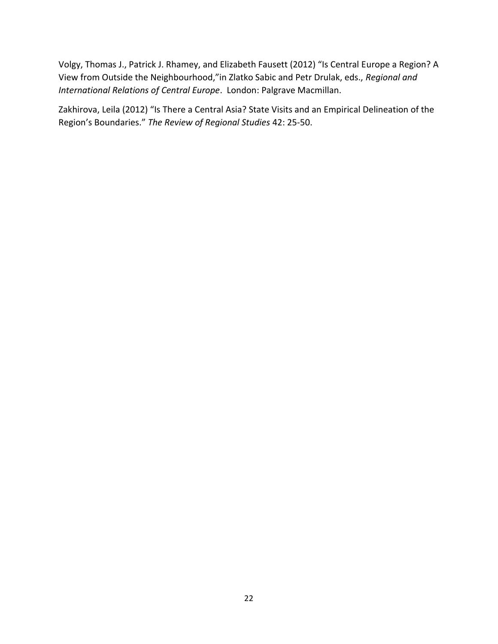Volgy, Thomas J., Patrick J. Rhamey, and Elizabeth Fausett (2012) "Is Central Europe a Region? A View from Outside the Neighbourhood,"in Zlatko Sabic and Petr Drulak, eds., *Regional and International Relations of Central Europe*. London: Palgrave Macmillan.

Zakhirova, Leila (2012) "Is There a Central Asia? State Visits and an Empirical Delineation of the Region's Boundaries." *The Review of Regional Studies* 42: 25-50.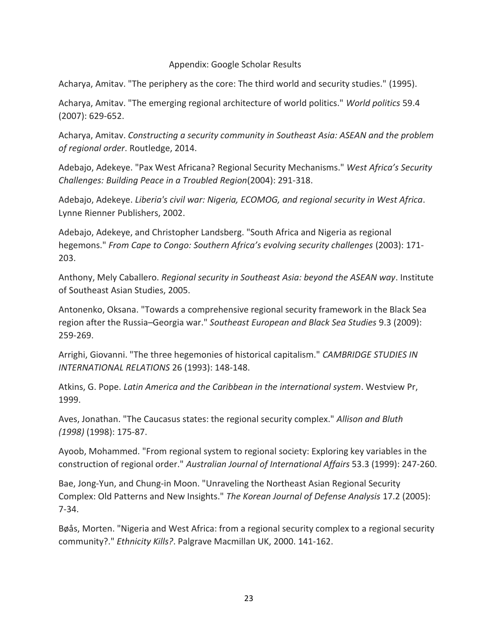## Appendix: Google Scholar Results

Acharya, Amitav. "The periphery as the core: The third world and security studies." (1995).

Acharya, Amitav. "The emerging regional architecture of world politics." *World politics* 59.4 (2007): 629-652.

Acharya, Amitav. *Constructing a security community in Southeast Asia: ASEAN and the problem of regional order*. Routledge, 2014.

Adebajo, Adekeye. "Pax West Africana? Regional Security Mechanisms." *West Africa's Security Challenges: Building Peace in a Troubled Region*(2004): 291-318.

Adebajo, Adekeye. *Liberia's civil war: Nigeria, ECOMOG, and regional security in West Africa*. Lynne Rienner Publishers, 2002.

Adebajo, Adekeye, and Christopher Landsberg. "South Africa and Nigeria as regional hegemons." *From Cape to Congo: Southern Africa's evolving security challenges* (2003): 171- 203.

Anthony, Mely Caballero. *Regional security in Southeast Asia: beyond the ASEAN way*. Institute of Southeast Asian Studies, 2005.

Antonenko, Oksana. "Towards a comprehensive regional security framework in the Black Sea region after the Russia–Georgia war." *Southeast European and Black Sea Studies* 9.3 (2009): 259-269.

Arrighi, Giovanni. "The three hegemonies of historical capitalism." *CAMBRIDGE STUDIES IN INTERNATIONAL RELATIONS* 26 (1993): 148-148.

Atkins, G. Pope. *Latin America and the Caribbean in the international system*. Westview Pr, 1999.

Aves, Jonathan. "The Caucasus states: the regional security complex." *Allison and Bluth (1998)* (1998): 175-87.

Ayoob, Mohammed. "From regional system to regional society: Exploring key variables in the construction of regional order." *Australian Journal of International Affairs* 53.3 (1999): 247-260.

Bae, Jong-Yun, and Chung-in Moon. "Unraveling the Northeast Asian Regional Security Complex: Old Patterns and New Insights." *The Korean Journal of Defense Analysis* 17.2 (2005): 7-34.

Bøås, Morten. "Nigeria and West Africa: from a regional security complex to a regional security community?." *Ethnicity Kills?*. Palgrave Macmillan UK, 2000. 141-162.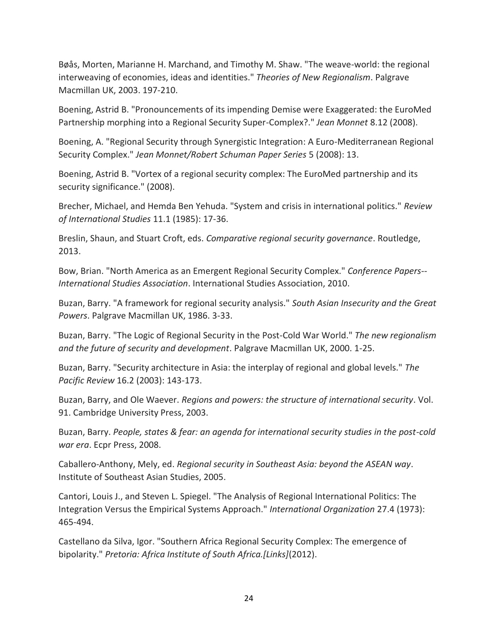Bøås, Morten, Marianne H. Marchand, and Timothy M. Shaw. "The weave-world: the regional interweaving of economies, ideas and identities." *Theories of New Regionalism*. Palgrave Macmillan UK, 2003. 197-210.

Boening, Astrid B. "Pronouncements of its impending Demise were Exaggerated: the EuroMed Partnership morphing into a Regional Security Super-Complex?." *Jean Monnet* 8.12 (2008).

Boening, A. "Regional Security through Synergistic Integration: A Euro-Mediterranean Regional Security Complex." *Jean Monnet/Robert Schuman Paper Series* 5 (2008): 13.

Boening, Astrid B. "Vortex of a regional security complex: The EuroMed partnership and its security significance." (2008).

Brecher, Michael, and Hemda Ben Yehuda. "System and crisis in international politics." *Review of International Studies* 11.1 (1985): 17-36.

Breslin, Shaun, and Stuart Croft, eds. *Comparative regional security governance*. Routledge, 2013.

Bow, Brian. "North America as an Emergent Regional Security Complex." *Conference Papers-- International Studies Association*. International Studies Association, 2010.

Buzan, Barry. "A framework for regional security analysis." *South Asian Insecurity and the Great Powers*. Palgrave Macmillan UK, 1986. 3-33.

Buzan, Barry. "The Logic of Regional Security in the Post-Cold War World." *The new regionalism and the future of security and development*. Palgrave Macmillan UK, 2000. 1-25.

Buzan, Barry. "Security architecture in Asia: the interplay of regional and global levels." *The Pacific Review* 16.2 (2003): 143-173.

Buzan, Barry, and Ole Waever. *Regions and powers: the structure of international security*. Vol. 91. Cambridge University Press, 2003.

Buzan, Barry. *People, states & fear: an agenda for international security studies in the post-cold war era*. Ecpr Press, 2008.

Caballero-Anthony, Mely, ed. *Regional security in Southeast Asia: beyond the ASEAN way*. Institute of Southeast Asian Studies, 2005.

Cantori, Louis J., and Steven L. Spiegel. "The Analysis of Regional International Politics: The Integration Versus the Empirical Systems Approach." *International Organization* 27.4 (1973): 465-494.

Castellano da Silva, Igor. "Southern Africa Regional Security Complex: The emergence of bipolarity." *Pretoria: Africa Institute of South Africa.[Links]*(2012).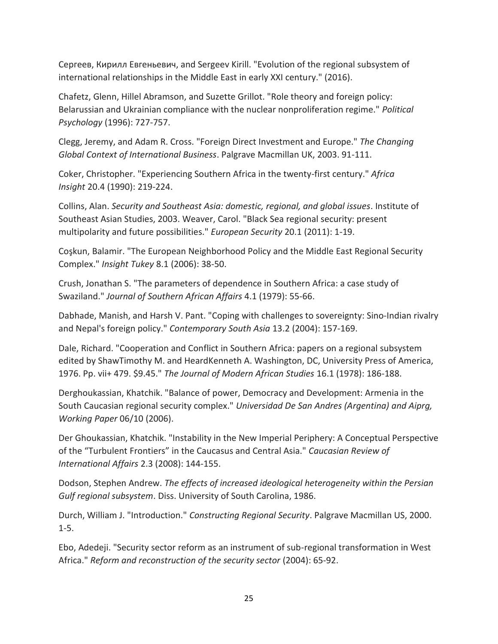Сергеев, Кирилл Евгеньевич, and Sergeev Kirill. "Evolution of the regional subsystem of international relationships in the Middle East in early XXI century." (2016).

Chafetz, Glenn, Hillel Abramson, and Suzette Grillot. "Role theory and foreign policy: Belarussian and Ukrainian compliance with the nuclear nonproliferation regime." *Political Psychology* (1996): 727-757.

Clegg, Jeremy, and Adam R. Cross. "Foreign Direct Investment and Europe." *The Changing Global Context of International Business*. Palgrave Macmillan UK, 2003. 91-111.

Coker, Christopher. "Experiencing Southern Africa in the twenty-first century." *Africa Insight* 20.4 (1990): 219-224.

Collins, Alan. *Security and Southeast Asia: domestic, regional, and global issues*. Institute of Southeast Asian Studies, 2003. Weaver, Carol. "Black Sea regional security: present multipolarity and future possibilities." *European Security* 20.1 (2011): 1-19.

Coşkun, Balamir. "The European Neighborhood Policy and the Middle East Regional Security Complex." *Insight Tukey* 8.1 (2006): 38-50.

Crush, Jonathan S. "The parameters of dependence in Southern Africa: a case study of Swaziland." *Journal of Southern African Affairs* 4.1 (1979): 55-66.

Dabhade, Manish, and Harsh V. Pant. "Coping with challenges to sovereignty: Sino-Indian rivalry and Nepal's foreign policy." *Contemporary South Asia* 13.2 (2004): 157-169.

Dale, Richard. "Cooperation and Conflict in Southern Africa: papers on a regional subsystem edited by ShawTimothy M. and HeardKenneth A. Washington, DC, University Press of America, 1976. Pp. vii+ 479. \$9.45." *The Journal of Modern African Studies* 16.1 (1978): 186-188.

Derghoukassian, Khatchik. "Balance of power, Democracy and Development: Armenia in the South Caucasian regional security complex." *Universidad De San Andres (Argentina) and Aiprg, Working Paper* 06/10 (2006).

Der Ghoukassian, Khatchik. "Instability in the New Imperial Periphery: A Conceptual Perspective of the "Turbulent Frontiers" in the Caucasus and Central Asia." *Caucasian Review of International Affairs* 2.3 (2008): 144-155.

Dodson, Stephen Andrew. *The effects of increased ideological heterogeneity within the Persian Gulf regional subsystem*. Diss. University of South Carolina, 1986.

Durch, William J. "Introduction." *Constructing Regional Security*. Palgrave Macmillan US, 2000. 1-5.

Ebo, Adedeji. "Security sector reform as an instrument of sub-regional transformation in West Africa." *Reform and reconstruction of the security sector* (2004): 65-92.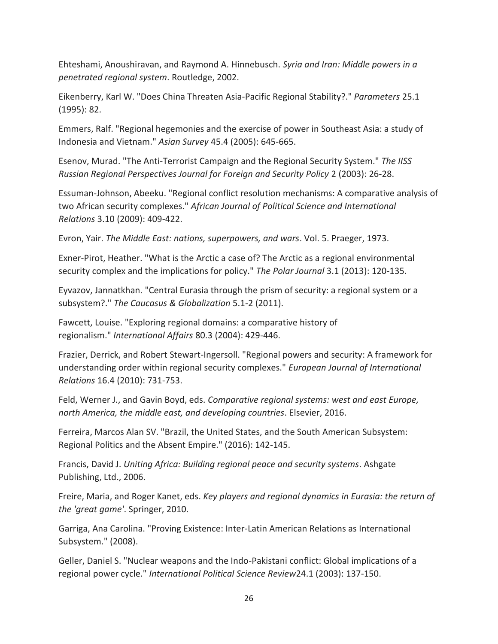Ehteshami, Anoushiravan, and Raymond A. Hinnebusch. *Syria and Iran: Middle powers in a penetrated regional system*. Routledge, 2002.

Eikenberry, Karl W. "Does China Threaten Asia-Pacific Regional Stability?." *Parameters* 25.1 (1995): 82.

Emmers, Ralf. "Regional hegemonies and the exercise of power in Southeast Asia: a study of Indonesia and Vietnam." *Asian Survey* 45.4 (2005): 645-665.

Esenov, Murad. "The Anti-Terrorist Campaign and the Regional Security System." *The IISS Russian Regional Perspectives Journal for Foreign and Security Policy* 2 (2003): 26-28.

Essuman-Johnson, Abeeku. "Regional conflict resolution mechanisms: A comparative analysis of two African security complexes." *African Journal of Political Science and International Relations* 3.10 (2009): 409-422.

Evron, Yair. *The Middle East: nations, superpowers, and wars*. Vol. 5. Praeger, 1973.

Exner-Pirot, Heather. "What is the Arctic a case of? The Arctic as a regional environmental security complex and the implications for policy." *The Polar Journal* 3.1 (2013): 120-135.

Eyvazov, Jannatkhan. "Central Eurasia through the prism of security: a regional system or a subsystem?." *The Caucasus & Globalization* 5.1-2 (2011).

Fawcett, Louise. "Exploring regional domains: a comparative history of regionalism." *International Affairs* 80.3 (2004): 429-446.

Frazier, Derrick, and Robert Stewart-Ingersoll. "Regional powers and security: A framework for understanding order within regional security complexes." *European Journal of International Relations* 16.4 (2010): 731-753.

Feld, Werner J., and Gavin Boyd, eds. *Comparative regional systems: west and east Europe, north America, the middle east, and developing countries*. Elsevier, 2016.

Ferreira, Marcos Alan SV. "Brazil, the United States, and the South American Subsystem: Regional Politics and the Absent Empire." (2016): 142-145.

Francis, David J. *Uniting Africa: Building regional peace and security systems*. Ashgate Publishing, Ltd., 2006.

Freire, Maria, and Roger Kanet, eds. *Key players and regional dynamics in Eurasia: the return of the 'great game'*. Springer, 2010.

Garriga, Ana Carolina. "Proving Existence: Inter-Latin American Relations as International Subsystem." (2008).

Geller, Daniel S. "Nuclear weapons and the Indo-Pakistani conflict: Global implications of a regional power cycle." *International Political Science Review*24.1 (2003): 137-150.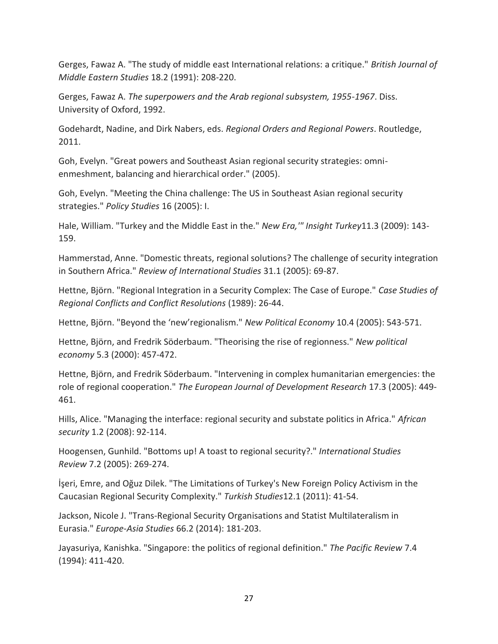Gerges, Fawaz A. "The study of middle east International relations: a critique." *British Journal of Middle Eastern Studies* 18.2 (1991): 208-220.

Gerges, Fawaz A. *The superpowers and the Arab regional subsystem, 1955-1967*. Diss. University of Oxford, 1992.

Godehardt, Nadine, and Dirk Nabers, eds. *Regional Orders and Regional Powers*. Routledge, 2011.

Goh, Evelyn. "Great powers and Southeast Asian regional security strategies: omnienmeshment, balancing and hierarchical order." (2005).

Goh, Evelyn. "Meeting the China challenge: The US in Southeast Asian regional security strategies." *Policy Studies* 16 (2005): I.

Hale, William. "Turkey and the Middle East in the." *New Era,'" Insight Turkey*11.3 (2009): 143- 159.

Hammerstad, Anne. "Domestic threats, regional solutions? The challenge of security integration in Southern Africa." *Review of International Studies* 31.1 (2005): 69-87.

Hettne, Björn. "Regional Integration in a Security Complex: The Case of Europe." *Case Studies of Regional Conflicts and Conflict Resolutions* (1989): 26-44.

Hettne, Björn. "Beyond the 'new'regionalism." *New Political Economy* 10.4 (2005): 543-571.

Hettne, Björn, and Fredrik Söderbaum. "Theorising the rise of regionness." *New political economy* 5.3 (2000): 457-472.

Hettne, Björn, and Fredrik Söderbaum. "Intervening in complex humanitarian emergencies: the role of regional cooperation." *The European Journal of Development Research* 17.3 (2005): 449- 461.

Hills, Alice. "Managing the interface: regional security and substate politics in Africa." *African security* 1.2 (2008): 92-114.

Hoogensen, Gunhild. "Bottoms up! A toast to regional security?." *International Studies Review* 7.2 (2005): 269-274.

İşeri, Emre, and Oğuz Dilek. "The Limitations of Turkey's New Foreign Policy Activism in the Caucasian Regional Security Complexity." *Turkish Studies*12.1 (2011): 41-54.

Jackson, Nicole J. "Trans-Regional Security Organisations and Statist Multilateralism in Eurasia." *Europe-Asia Studies* 66.2 (2014): 181-203.

Jayasuriya, Kanishka. "Singapore: the politics of regional definition." *The Pacific Review* 7.4 (1994): 411-420.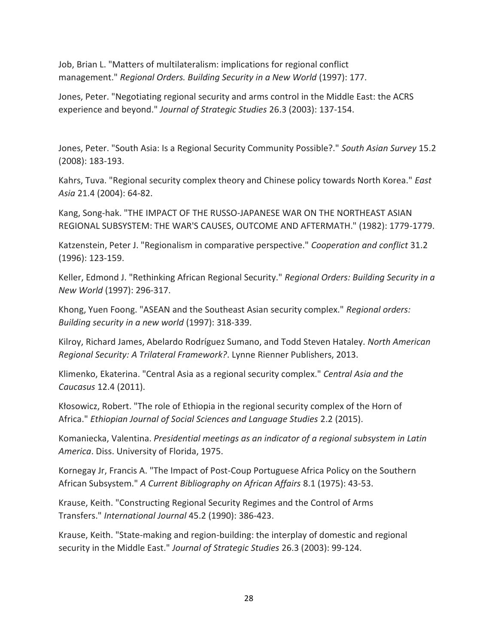Job, Brian L. "Matters of multilateralism: implications for regional conflict management." *Regional Orders. Building Security in a New World* (1997): 177.

Jones, Peter. "Negotiating regional security and arms control in the Middle East: the ACRS experience and beyond." *Journal of Strategic Studies* 26.3 (2003): 137-154.

Jones, Peter. "South Asia: Is a Regional Security Community Possible?." *South Asian Survey* 15.2 (2008): 183-193.

Kahrs, Tuva. "Regional security complex theory and Chinese policy towards North Korea." *East Asia* 21.4 (2004): 64-82.

Kang, Song-hak. "THE IMPACT OF THE RUSSO-JAPANESE WAR ON THE NORTHEAST ASIAN REGIONAL SUBSYSTEM: THE WAR'S CAUSES, OUTCOME AND AFTERMATH." (1982): 1779-1779.

Katzenstein, Peter J. "Regionalism in comparative perspective." *Cooperation and conflict* 31.2 (1996): 123-159.

Keller, Edmond J. "Rethinking African Regional Security." *Regional Orders: Building Security in a New World* (1997): 296-317.

Khong, Yuen Foong. "ASEAN and the Southeast Asian security complex." *Regional orders: Building security in a new world* (1997): 318-339.

Kilroy, Richard James, Abelardo Rodríguez Sumano, and Todd Steven Hataley. *North American Regional Security: A Trilateral Framework?*. Lynne Rienner Publishers, 2013.

Klimenko, Ekaterina. "Central Asia as a regional security complex." *Central Asia and the Caucasus* 12.4 (2011).

Kłosowicz, Robert. "The role of Ethiopia in the regional security complex of the Horn of Africa." *Ethiopian Journal of Social Sciences and Language Studies* 2.2 (2015).

Komaniecka, Valentina. *Presidential meetings as an indicator of a regional subsystem in Latin America*. Diss. University of Florida, 1975.

Kornegay Jr, Francis A. "The Impact of Post-Coup Portuguese Africa Policy on the Southern African Subsystem." *A Current Bibliography on African Affairs* 8.1 (1975): 43-53.

Krause, Keith. "Constructing Regional Security Regimes and the Control of Arms Transfers." *International Journal* 45.2 (1990): 386-423.

Krause, Keith. "State-making and region-building: the interplay of domestic and regional security in the Middle East." *Journal of Strategic Studies* 26.3 (2003): 99-124.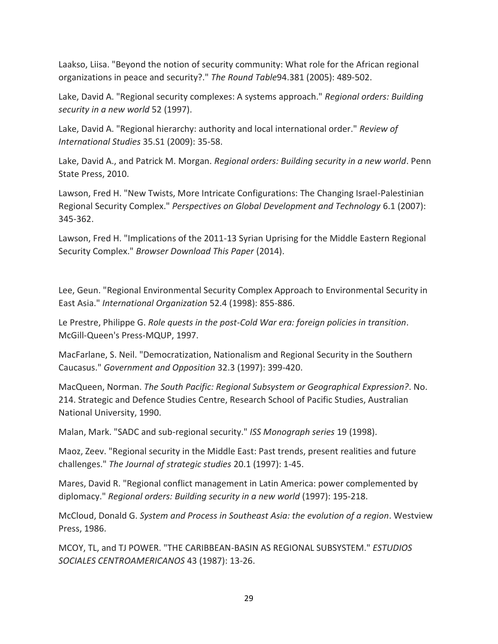Laakso, Liisa. "Beyond the notion of security community: What role for the African regional organizations in peace and security?." *The Round Table*94.381 (2005): 489-502.

Lake, David A. "Regional security complexes: A systems approach." *Regional orders: Building security in a new world* 52 (1997).

Lake, David A. "Regional hierarchy: authority and local international order." *Review of International Studies* 35.S1 (2009): 35-58.

Lake, David A., and Patrick M. Morgan. *Regional orders: Building security in a new world*. Penn State Press, 2010.

Lawson, Fred H. "New Twists, More Intricate Configurations: The Changing Israel-Palestinian Regional Security Complex." *Perspectives on Global Development and Technology* 6.1 (2007): 345-362.

Lawson, Fred H. "Implications of the 2011-13 Syrian Uprising for the Middle Eastern Regional Security Complex." *Browser Download This Paper* (2014).

Lee, Geun. "Regional Environmental Security Complex Approach to Environmental Security in East Asia." *International Organization* 52.4 (1998): 855-886.

Le Prestre, Philippe G. *Role quests in the post-Cold War era: foreign policies in transition*. McGill-Queen's Press-MQUP, 1997.

MacFarlane, S. Neil. "Democratization, Nationalism and Regional Security in the Southern Caucasus." *Government and Opposition* 32.3 (1997): 399-420.

MacQueen, Norman. *The South Pacific: Regional Subsystem or Geographical Expression?*. No. 214. Strategic and Defence Studies Centre, Research School of Pacific Studies, Australian National University, 1990.

Malan, Mark. "SADC and sub-regional security." *ISS Monograph series* 19 (1998).

Maoz, Zeev. "Regional security in the Middle East: Past trends, present realities and future challenges." *The Journal of strategic studies* 20.1 (1997): 1-45.

Mares, David R. "Regional conflict management in Latin America: power complemented by diplomacy." *Regional orders: Building security in a new world* (1997): 195-218.

McCloud, Donald G. *System and Process in Southeast Asia: the evolution of a region*. Westview Press, 1986.

MCOY, TL, and TJ POWER. "THE CARIBBEAN-BASIN AS REGIONAL SUBSYSTEM." *ESTUDIOS SOCIALES CENTROAMERICANOS* 43 (1987): 13-26.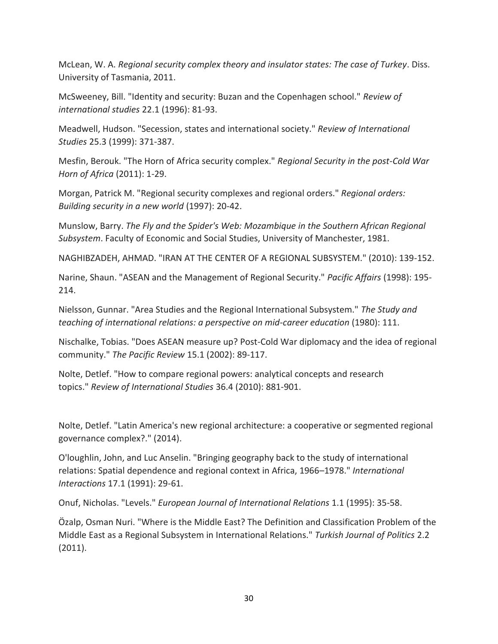McLean, W. A. *Regional security complex theory and insulator states: The case of Turkey*. Diss. University of Tasmania, 2011.

McSweeney, Bill. "Identity and security: Buzan and the Copenhagen school." *Review of international studies* 22.1 (1996): 81-93.

Meadwell, Hudson. "Secession, states and international society." *Review of International Studies* 25.3 (1999): 371-387.

Mesfin, Berouk. "The Horn of Africa security complex." *Regional Security in the post-Cold War Horn of Africa* (2011): 1-29.

Morgan, Patrick M. "Regional security complexes and regional orders." *Regional orders: Building security in a new world* (1997): 20-42.

Munslow, Barry. *The Fly and the Spider's Web: Mozambique in the Southern African Regional Subsystem*. Faculty of Economic and Social Studies, University of Manchester, 1981.

NAGHIBZADEH, AHMAD. "IRAN AT THE CENTER OF A REGIONAL SUBSYSTEM." (2010): 139-152.

Narine, Shaun. "ASEAN and the Management of Regional Security." *Pacific Affairs* (1998): 195- 214.

Nielsson, Gunnar. "Area Studies and the Regional International Subsystem." *The Study and teaching of international relations: a perspective on mid-career education* (1980): 111.

Nischalke, Tobias. "Does ASEAN measure up? Post-Cold War diplomacy and the idea of regional community." *The Pacific Review* 15.1 (2002): 89-117.

Nolte, Detlef. "How to compare regional powers: analytical concepts and research topics." *Review of International Studies* 36.4 (2010): 881-901.

Nolte, Detlef. "Latin America's new regional architecture: a cooperative or segmented regional governance complex?." (2014).

O'loughlin, John, and Luc Anselin. "Bringing geography back to the study of international relations: Spatial dependence and regional context in Africa, 1966–1978." *International Interactions* 17.1 (1991): 29-61.

Onuf, Nicholas. "Levels." *European Journal of International Relations* 1.1 (1995): 35-58.

Özalp, Osman Nuri. "Where is the Middle East? The Definition and Classification Problem of the Middle East as a Regional Subsystem in International Relations." *Turkish Journal of Politics* 2.2 (2011).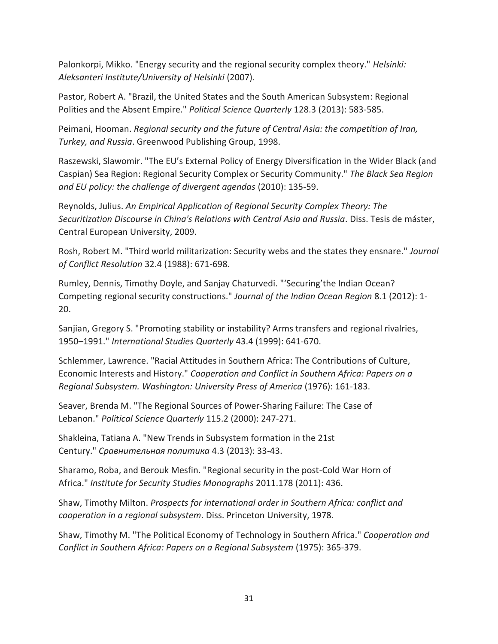Palonkorpi, Mikko. "Energy security and the regional security complex theory." *Helsinki: Aleksanteri Institute/University of Helsinki* (2007).

Pastor, Robert A. "Brazil, the United States and the South American Subsystem: Regional Polities and the Absent Empire." *Political Science Quarterly* 128.3 (2013): 583-585.

Peimani, Hooman. *Regional security and the future of Central Asia: the competition of Iran, Turkey, and Russia*. Greenwood Publishing Group, 1998.

Raszewski, Slawomir. "The EU's External Policy of Energy Diversification in the Wider Black (and Caspian) Sea Region: Regional Security Complex or Security Community." *The Black Sea Region and EU policy: the challenge of divergent agendas* (2010): 135-59.

Reynolds, Julius. *An Empirical Application of Regional Security Complex Theory: The Securitization Discourse in China's Relations with Central Asia and Russia*. Diss. Tesis de máster, Central European University, 2009.

Rosh, Robert M. "Third world militarization: Security webs and the states they ensnare." *Journal of Conflict Resolution* 32.4 (1988): 671-698.

Rumley, Dennis, Timothy Doyle, and Sanjay Chaturvedi. "'Securing'the Indian Ocean? Competing regional security constructions." *Journal of the Indian Ocean Region* 8.1 (2012): 1- 20.

Sanjian, Gregory S. "Promoting stability or instability? Arms transfers and regional rivalries, 1950–1991." *International Studies Quarterly* 43.4 (1999): 641-670.

Schlemmer, Lawrence. "Racial Attitudes in Southern Africa: The Contributions of Culture, Economic Interests and History." *Cooperation and Conflict in Southern Africa: Papers on a Regional Subsystem. Washington: University Press of America* (1976): 161-183.

Seaver, Brenda M. "The Regional Sources of Power‐Sharing Failure: The Case of Lebanon." *Political Science Quarterly* 115.2 (2000): 247-271.

Shakleina, Tatiana A. "New Trends in Subsystem formation in the 21st Century." *Сравнительная политика* 4.3 (2013): 33-43.

Sharamo, Roba, and Berouk Mesfin. "Regional security in the post-Cold War Horn of Africa." *Institute for Security Studies Monographs* 2011.178 (2011): 436.

Shaw, Timothy Milton. *Prospects for international order in Southern Africa: conflict and cooperation in a regional subsystem*. Diss. Princeton University, 1978.

Shaw, Timothy M. "The Political Economy of Technology in Southern Africa." *Cooperation and Conflict in Southern Africa: Papers on a Regional Subsystem* (1975): 365-379.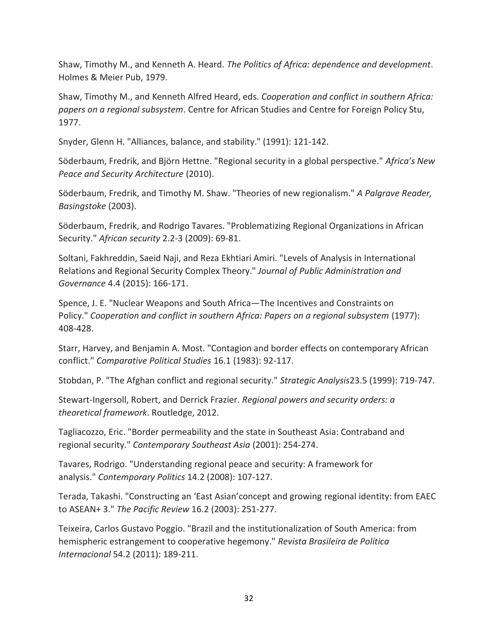Shaw, Timothy M., and Kenneth A. Heard. *The Politics of Africa: dependence and development*. Holmes & Meier Pub, 1979.

Shaw, Timothy M., and Kenneth Alfred Heard, eds. *Cooperation and conflict in southern Africa: papers on a regional subsystem*. Centre for African Studies and Centre for Foreign Policy Stu, 1977.

Snyder, Glenn H. "Alliances, balance, and stability." (1991): 121-142.

Söderbaum, Fredrik, and Björn Hettne. "Regional security in a global perspective." *Africa's New Peace and Security Architecture* (2010).

Söderbaum, Fredrik, and Timothy M. Shaw. "Theories of new regionalism." *A Palgrave Reader, Basingstoke* (2003).

Söderbaum, Fredrik, and Rodrigo Tavares. "Problematizing Regional Organizations in African Security." *African security* 2.2-3 (2009): 69-81.

Soltani, Fakhreddin, Saeid Naji, and Reza Ekhtiari Amiri. "Levels of Analysis in International Relations and Regional Security Complex Theory." *Journal of Public Administration and Governance* 4.4 (2015): 166-171.

Spence, J. E. "Nuclear Weapons and South Africa—The Incentives and Constraints on Policy." *Cooperation and conflict in southern Africa: Papers on a regional subsystem* (1977): 408-428.

Starr, Harvey, and Benjamin A. Most. "Contagion and border effects on contemporary African conflict." *Comparative Political Studies* 16.1 (1983): 92-117.

Stobdan, P. "The Afghan conflict and regional security." *Strategic Analysis*23.5 (1999): 719-747.

Stewart-Ingersoll, Robert, and Derrick Frazier. *Regional powers and security orders: a theoretical framework*. Routledge, 2012.

Tagliacozzo, Eric. "Border permeability and the state in Southeast Asia: Contraband and regional security." *Contemporary Southeast Asia* (2001): 254-274.

Tavares, Rodrigo. "Understanding regional peace and security: A framework for analysis." *Contemporary Politics* 14.2 (2008): 107-127.

Terada, Takashi. "Constructing an 'East Asian'concept and growing regional identity: from EAEC to ASEAN+ 3." *The Pacific Review* 16.2 (2003): 251-277.

Teixeira, Carlos Gustavo Poggio. "Brazil and the institutionalization of South America: from hemispheric estrangement to cooperative hegemony." *Revista Brasileira de Política Internacional* 54.2 (2011): 189-211.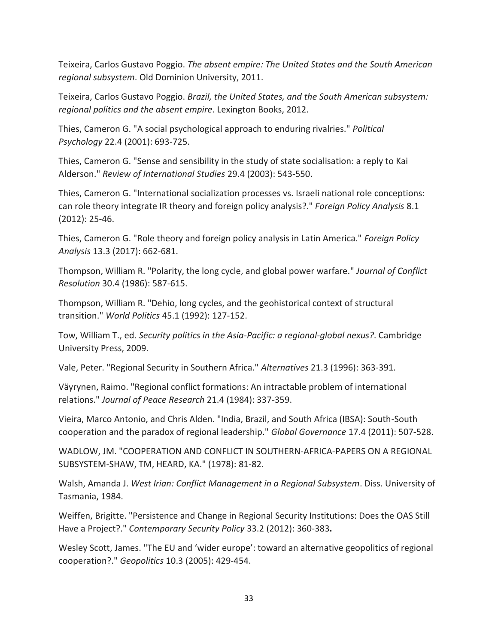Teixeira, Carlos Gustavo Poggio. *The absent empire: The United States and the South American regional subsystem*. Old Dominion University, 2011.

Teixeira, Carlos Gustavo Poggio. *Brazil, the United States, and the South American subsystem: regional politics and the absent empire*. Lexington Books, 2012.

Thies, Cameron G. "A social psychological approach to enduring rivalries." *Political Psychology* 22.4 (2001): 693-725.

Thies, Cameron G. "Sense and sensibility in the study of state socialisation: a reply to Kai Alderson." *Review of International Studies* 29.4 (2003): 543-550.

Thies, Cameron G. "International socialization processes vs. Israeli national role conceptions: can role theory integrate IR theory and foreign policy analysis?." *Foreign Policy Analysis* 8.1 (2012): 25-46.

Thies, Cameron G. "Role theory and foreign policy analysis in Latin America." *Foreign Policy Analysis* 13.3 (2017): 662-681.

Thompson, William R. "Polarity, the long cycle, and global power warfare." *Journal of Conflict Resolution* 30.4 (1986): 587-615.

Thompson, William R. "Dehio, long cycles, and the geohistorical context of structural transition." *World Politics* 45.1 (1992): 127-152.

Tow, William T., ed. *Security politics in the Asia-Pacific: a regional-global nexus?*. Cambridge University Press, 2009.

Vale, Peter. "Regional Security in Southern Africa." *Alternatives* 21.3 (1996): 363-391.

Väyrynen, Raimo. "Regional conflict formations: An intractable problem of international relations." *Journal of Peace Research* 21.4 (1984): 337-359.

Vieira, Marco Antonio, and Chris Alden. "India, Brazil, and South Africa (IBSA): South-South cooperation and the paradox of regional leadership." *Global Governance* 17.4 (2011): 507-528.

WADLOW, JM. "COOPERATION AND CONFLICT IN SOUTHERN-AFRICA-PAPERS ON A REGIONAL SUBSYSTEM-SHAW, TM, HEARD, KA." (1978): 81-82.

Walsh, Amanda J. *West Irian: Conflict Management in a Regional Subsystem*. Diss. University of Tasmania, 1984.

Weiffen, Brigitte. "Persistence and Change in Regional Security Institutions: Does the OAS Still Have a Project?." *Contemporary Security Policy* 33.2 (2012): 360-383**.** 

Wesley Scott, James. "The EU and 'wider europe': toward an alternative geopolitics of regional cooperation?." *Geopolitics* 10.3 (2005): 429-454.